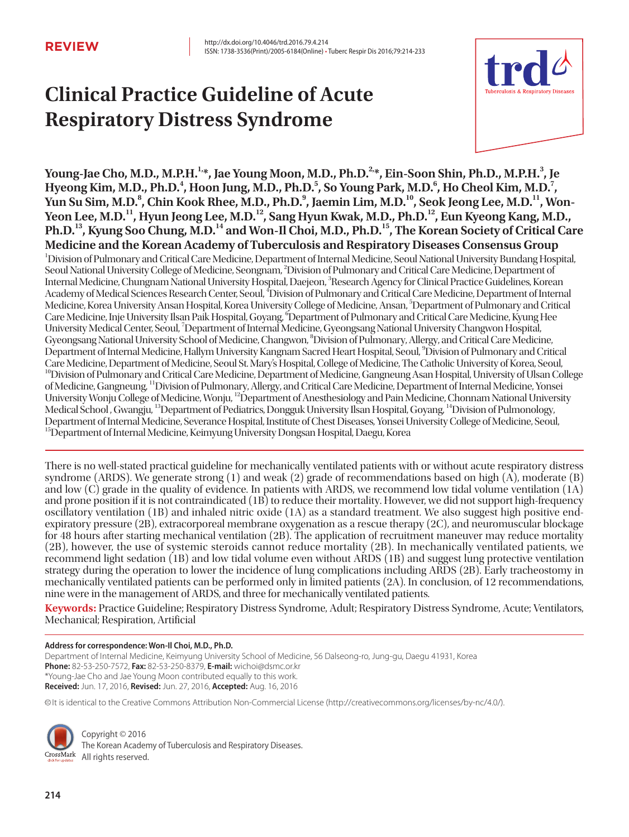# **Clinical Practice Guideline of Acute Respiratory Distress Syndrome**



Young-Jae Cho, M.D., M.P.H.<sup>1,</sup>\*, Jae Young Moon, M.D., Ph.D.<sup>2,</sup>\*, Ein-Soon Shin, Ph.D., M.P.H.<sup>3</sup>, Je Hyeong Kim, M.D., Ph.D.<sup>4</sup>, Hoon Jung, M.D., Ph.D.<sup>5</sup>, So Young Park, M.D.<sup>6</sup>, Ho Cheol Kim, M.D.<sup>7</sup>, Yun Su Sim, M.D.<sup>8</sup>, Chin Kook Rhee, M.D., Ph.D.<sup>9</sup>, Jaemin Lim, M.D.<sup>10</sup>, Seok Jeong Lee, M.D.<sup>11</sup>, Won-Yeon Lee, M.D.<sup>11</sup>, Hyun Jeong Lee, M.D.<sup>12</sup>, Sang Hyun Kwak, M.D., Ph.D.<sup>12</sup>, Eun Kyeong Kang, M.D., **Ph.D.13, Kyung Soo Chung, M.D.14 and Won-Il Choi, M.D., Ph.D.15, The Korean Society of Critical Care Medicine and the Korean Academy of Tuberculosis and Respiratory Diseases Consensus Group** 1 Division of Pulmonary and Critical Care Medicine, Department of Internal Medicine, Seoul National University Bundang Hospital, Seoul National University College of Medicine, Seongnam, <sup>2</sup>Division of Pulmonary and Critical Care Medicine, Department of Internal Medicine, Chungnam National University Hospital, Daejeon, <sup>3</sup>Research Agency for Clinical Practice Guidelines, Korean Academy of Medical Sciences Research Center, Seoul, 'Division of Pulmonary and Critical Care Medicine, Department of Internal Medicine, Korea University Ansan Hospital, Korea University College of Medicine, Ansan, <sup>5</sup>Department of Pulmonary and Critical Care Medicine, Inje University Ilsan Paik Hospital, Goyang, <sup>6</sup>Department of Pulmonary and Critical Care Medicine, Kyung Hee University Medical Center, Seoul, <sup>7</sup>Department of Internal Medicine, Gyeongsang National University Changwon Hospital, Gyeongsang National University School of Medicine, Changwon, <sup>8</sup>Division of Pulmonary, Allergy, and Critical Care Medicine, Department of Internal Medicine, Hallym University Kangnam Sacred Heart Hospital, Seoul, 9 Division of Pulmonary and Critical Care Medicine, Department of Medicine, Seoul St. Mary's Hospital, College of Medicine, The Catholic University of Korea, Seoul, <sup>10</sup>Division of Pulmonary and Critical Care Medicine, Department of Medicine, Gangneung Asan Hospital, University of Ulsan College of Medicine, Gangneung, 11Division of Pulmonary, Allergy, and Critical Care Medicine, Department of Internal Medicine, Yonsei University Wonju College of Medicine, Wonju, <sup>12</sup>Department of Anesthesiology and Pain Medicine, Chonnam National University Medical School , Gwangju, 13Department of Pediatrics, Dongguk University Ilsan Hospital, Goyang, 14Division of Pulmonology, Department of Internal Medicine, Severance Hospital, Institute of Chest Diseases, Yonsei University College of Medicine, Seoul, <sup>15</sup>Department of Internal Medicine, Keimyung University Dongsan Hospital, Daegu, Korea

There is no well-stated practical guideline for mechanically ventilated patients with or without acute respiratory distress syndrome (ARDS). We generate strong (1) and weak (2) grade of recommendations based on high (A), moderate (B) and low (C) grade in the quality of evidence. In patients with ARDS, we recommend low tidal volume ventilation (1A) and prone position if it is not contraindicated (1B) to reduce their mortality. However, we did not support high-frequency oscillatory ventilation (1B) and inhaled nitric oxide (1A) as a standard treatment. We also suggest high positive endexpiratory pressure (2B), extracorporeal membrane oxygenation as a rescue therapy (2C), and neuromuscular blockage for 48 hours after starting mechanical ventilation (2B). The application of recruitment maneuver may reduce mortality (2B), however, the use of systemic steroids cannot reduce mortality (2B). In mechanically ventilated patients, we recommend light sedation (1B) and low tidal volume even without ARDS (1B) and suggest lung protective ventilation strategy during the operation to lower the incidence of lung complications including ARDS (2B). Early tracheostomy in mechanically ventilated patients can be performed only in limited patients (2A). In conclusion, of 12 recommendations, nine were in the management of ARDS, and three for mechanically ventilated patients.

**Keywords:** Practice Guideline; Respiratory Distress Syndrome, Adult; Respiratory Distress Syndrome, Acute; Ventilators, Mechanical; Respiration, Artificial

#### **Address for correspondence: Won-Il Choi, M.D., Ph.D.**

Department of Internal Medicine, Keimyung University School of Medicine, 56 Dalseong-ro, Jung-gu, Daegu 41931, Korea **Phone:** 82-53-250-7572, **Fax:** 82-53-250-8379, **E-mail:** wichoi@dsmc.or.kr \*Young-Jae Cho and Jae Young Moon contributed equally to this work. **Received:** Jun. 17, 2016, **Revised:** Jun. 27, 2016, **Accepted:** Aug. 16, 2016

cc It is identical to the Creative Commons Attribution Non-Commercial License (http://creativecommons.org/licenses/by-nc/4.0/).



Copyright © 2016 The Korean Academy of Tuberculosis and Respiratory Diseases. CrossMark All rights reserved.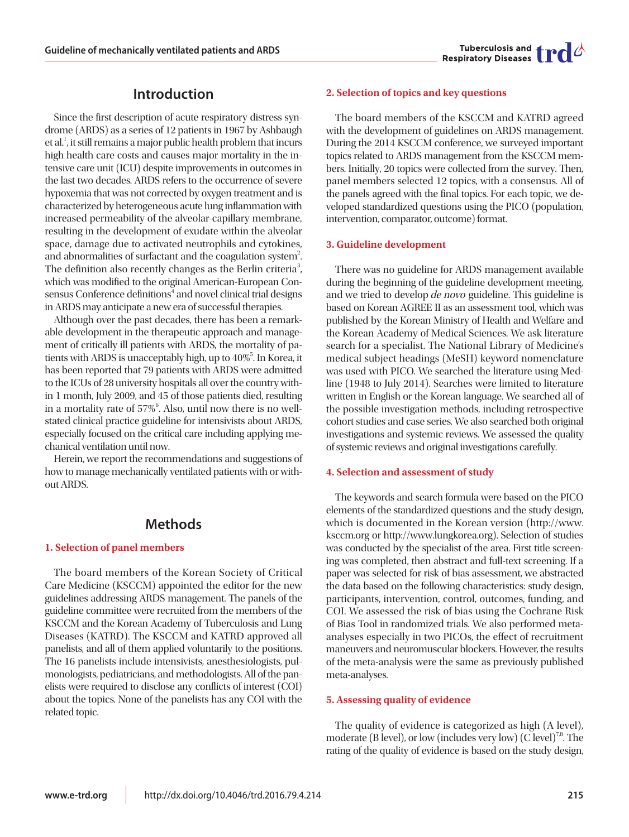

# **Introduction**

Since the first description of acute respiratory distress syndrome (ARDS) as a series of 12 patients in 1967 by Ashbaugh et al.<sup>1</sup>, it still remains a major public health problem that incurs high health care costs and causes major mortality in the intensive care unit (ICU) despite improvements in outcomes in the last two decades. ARDS refers to the occurrence of severe hypoxemia that was not corrected by oxygen treatment and is characterized by heterogeneous acute lung inflammation with increased permeability of the alveolar-capillary membrane, resulting in the development of exudate within the alveolar space, damage due to activated neutrophils and cytokines, and abnormalities of surfactant and the coagulation system<sup>2</sup>. The definition also recently changes as the Berlin criteria<sup>3</sup>, which was modified to the original American-European Consensus Conference definitions<sup>4</sup> and novel clinical trial designs in ARDS may anticipate a new era of successful therapies.

Although over the past decades, there has been a remarkable development in the therapeutic approach and management of critically ill patients with ARDS, the mortality of patients with ARDS is unacceptably high, up to 40%<sup>5</sup>. In Korea, it has been reported that 79 patients with ARDS were admitted to the ICUs of 28 university hospitals all over the country within 1 month, July 2009, and 45 of those patients died, resulting in a mortality rate of  $57\%$ <sup>6</sup>. Also, until now there is no wellstated clinical practice guideline for intensivists about ARDS, especially focused on the critical care including applying mechanical ventilation until now.

Herein, we report the recommendations and suggestions of how to manage mechanically ventilated patients with or without ARDS.

# **Methods**

# **1. Selection of panel members**

The board members of the Korean Society of Critical Care Medicine (KSCCM) appointed the editor for the new guidelines addressing ARDS management. The panels of the guideline committee were recruited from the members of the KSCCM and the Korean Academy of Tuberculosis and Lung Diseases (KATRD). The KSCCM and KATRD approved all panelists, and all of them applied voluntarily to the positions. The 16 panelists include intensivists, anesthesiologists, pulmonologists, pediatricians, and methodologists. All of the panelists were required to disclose any conflicts of interest (COI) about the topics. None of the panelists has any COI with the related topic.

#### **2. Selection of topics and key questions**

The board members of the KSCCM and KATRD agreed with the development of guidelines on ARDS management. During the 2014 KSCCM conference, we surveyed important topics related to ARDS management from the KSCCM members. Initially, 20 topics were collected from the survey. Then, panel members selected 12 topics, with a consensus. All of the panels agreed with the final topics. For each topic, we developed standardized questions using the PICO (population, intervention, comparator, outcome) format.

#### **3. Guideline development**

There was no guideline for ARDS management available during the beginning of the guideline development meeting, and we tried to develop de novo guideline. This guideline is based on Korean AGREE II as an assessment tool, which was published by the Korean Ministry of Health and Welfare and the Korean Academy of Medical Sciences. We ask literature search for a specialist. The National Library of Medicine's medical subject headings (MeSH) keyword nomenclature was used with PICO. We searched the literature using Medline (1948 to July 2014). Searches were limited to literature written in English or the Korean language. We searched all of the possible investigation methods, including retrospective cohort studies and case series. We also searched both original investigations and systemic reviews. We assessed the quality of systemic reviews and original investigations carefully.

#### **4. Selection and assessment of study**

The keywords and search formula were based on the PICO elements of the standardized questions and the study design, which is documented in the Korean version (http://www. ksccm.org or http://www.lungkorea.org). Selection of studies was conducted by the specialist of the area. First title screening was completed, then abstract and full-text screening. If a paper was selected for risk of bias assessment, we abstracted the data based on the following characteristics: study design, participants, intervention, control, outcomes, funding, and COI. We assessed the risk of bias using the Cochrane Risk of Bias Tool in randomized trials. We also performed metaanalyses especially in two PICOs, the effect of recruitment maneuvers and neuromuscular blockers. However, the results of the meta-analysis were the same as previously published meta-analyses.

#### **5. Assessing quality of evidence**

The quality of evidence is categorized as high (A level), moderate (B level), or low (includes very low) (C level)<sup>7,8</sup>. The rating of the quality of evidence is based on the study design,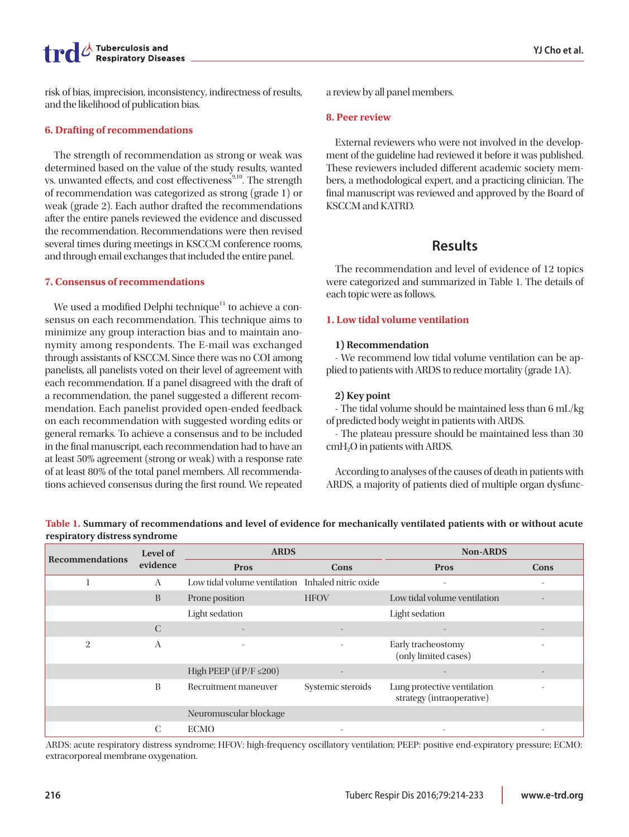

risk of bias, imprecision, inconsistency, indirectness of results, and the likelihood of publication bias.

### **6. Drafting of recommendations**

The strength of recommendation as strong or weak was determined based on the value of the study results, wanted vs. unwanted effects, and cost effectiveness<sup>9,10</sup>. The strength of recommendation was categorized as strong (grade 1) or weak (grade 2). Each author drafted the recommendations after the entire panels reviewed the evidence and discussed the recommendation. Recommendations were then revised several times during meetings in KSCCM conference rooms, and through email exchanges that included the entire panel.

# **7. Consensus of recommendations**

We used a modified Delphi technique<sup>11</sup> to achieve a consensus on each recommendation. This technique aims to minimize any group interaction bias and to maintain anonymity among respondents. The E-mail was exchanged through assistants of KSCCM. Since there was no COI among panelists, all panelists voted on their level of agreement with each recommendation. If a panel disagreed with the draft of a recommendation, the panel suggested a different recommendation. Each panelist provided open-ended feedback on each recommendation with suggested wording edits or general remarks. To achieve a consensus and to be included in the final manuscript, each recommendation had to have an at least 50% agreement (strong or weak) with a response rate of at least 80% of the total panel members. All recommendations achieved consensus during the first round. We repeated a review by all panel members.

### **8. Peer review**

External reviewers who were not involved in the development of the guideline had reviewed it before it was published. These reviewers included different academic society members, a methodological expert, and a practicing clinician. The final manuscript was reviewed and approved by the Board of KSCCM and KATRD.

# **Results**

The recommendation and level of evidence of 12 topics were categorized and summarized in Table 1. The details of each topic were as follows.

# **1. Low tidal volume ventilation**

# **1) Recommendation**

- We recommend low tidal volume ventilation can be applied to patients with ARDS to reduce mortality (grade 1A).

# **2) Key point**

- The tidal volume should be maintained less than 6 mL/kg of predicted body weight in patients with ARDS.

- The plateau pressure should be maintained less than 30 cmH<sub>2</sub>O in patients with ARDS.

According to analyses of the causes of death in patients with ARDS, a majority of patients died of multiple organ dysfunc-

**Recommendations Level of evidence ARDS Non-ARDS Pros Cons Pros Cons** 1 A Low tidal volume ventilation Inhaled nitric oxide B Prone position HFOV Low tidal volume ventilation Light sedation Light sedation C - - - - 2 A - - - - - - - - Early tracheostomy (only limited cases) - High PEEP (if  $P/F \le 200$ ) B Recruitment maneuver Systemic steroids Lung protective ventilation strategy (intraoperative) - Neuromuscular blockage  $C$  ECMO  $-C$  -  $C$ 

**Table 1. Summary of recommendations and level of evidence for mechanically ventilated patients with or without acute respiratory distress syndrome**

ARDS: acute respiratory distress syndrome; HFOV: high-frequency oscillatory ventilation; PEEP: positive end-expiratory pressure; ECMO: extracorporeal membrane oxygenation.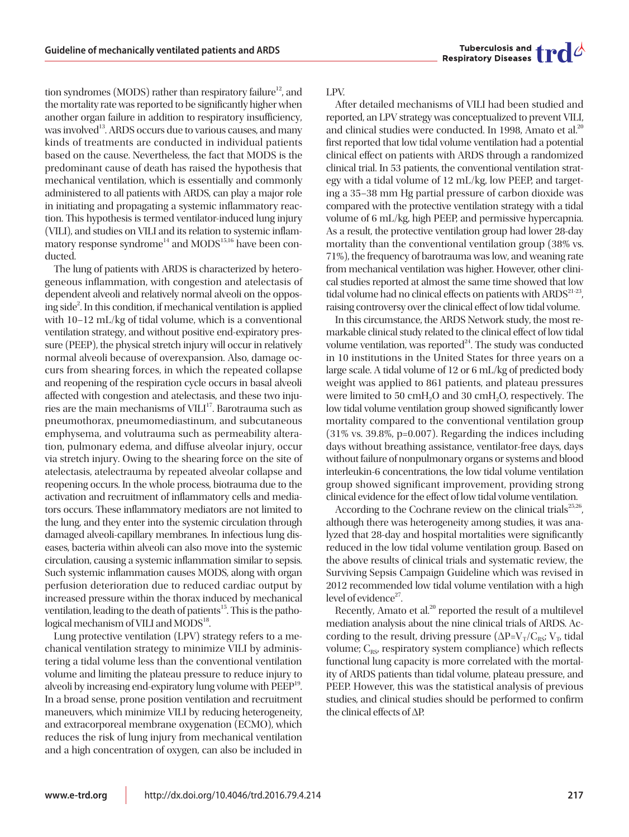

tion syndromes (MODS) rather than respiratory failure<sup>12</sup>, and the mortality rate was reported to be significantly higher when another organ failure in addition to respiratory insufficiency, was involved<sup>13</sup>. ARDS occurs due to various causes, and many kinds of treatments are conducted in individual patients based on the cause. Nevertheless, the fact that MODS is the predominant cause of death has raised the hypothesis that mechanical ventilation, which is essentially and commonly administered to all patients with ARDS, can play a major role in initiating and propagating a systemic inflammatory reaction. This hypothesis is termed ventilator-induced lung injury (VILI), and studies on VILI and its relation to systemic inflammatory response syndrome<sup>14</sup> and MODS<sup>15,16</sup> have been conducted.

The lung of patients with ARDS is characterized by heterogeneous inflammation, with congestion and atelectasis of dependent alveoli and relatively normal alveoli on the opposing side<sup>2</sup>. In this condition, if mechanical ventilation is applied with 10–12 mL/kg of tidal volume, which is a conventional ventilation strategy, and without positive end-expiratory pressure (PEEP), the physical stretch injury will occur in relatively normal alveoli because of overexpansion. Also, damage occurs from shearing forces, in which the repeated collapse and reopening of the respiration cycle occurs in basal alveoli affected with congestion and atelectasis, and these two injuries are the main mechanisms of VILI<sup>17</sup>. Barotrauma such as pneumothorax, pneumomediastinum, and subcutaneous emphysema, and volutrauma such as permeability alteration, pulmonary edema, and diffuse alveolar injury, occur via stretch injury. Owing to the shearing force on the site of atelectasis, atelectrauma by repeated alveolar collapse and reopening occurs. In the whole process, biotrauma due to the activation and recruitment of inflammatory cells and mediators occurs. These inflammatory mediators are not limited to the lung, and they enter into the systemic circulation through damaged alveoli-capillary membranes. In infectious lung diseases, bacteria within alveoli can also move into the systemic circulation, causing a systemic inflammation similar to sepsis. Such systemic inflammation causes MODS, along with organ perfusion deterioration due to reduced cardiac output by increased pressure within the thorax induced by mechanical ventilation, leading to the death of patients<sup>15</sup>. This is the pathological mechanism of VILI and  $MODS^{18}$ .

Lung protective ventilation (LPV) strategy refers to a mechanical ventilation strategy to minimize VILI by administering a tidal volume less than the conventional ventilation volume and limiting the plateau pressure to reduce injury to alveoli by increasing end-expiratory lung volume with PEEP<sup>19</sup>. In a broad sense, prone position ventilation and recruitment maneuvers, which minimize VILI by reducing heterogeneity, and extracorporeal membrane oxygenation (ECMO), which reduces the risk of lung injury from mechanical ventilation and a high concentration of oxygen, can also be included in LPV.

After detailed mechanisms of VILI had been studied and reported, an LPV strategy was conceptualized to prevent VILI, and clinical studies were conducted. In 1998, Amato et al.<sup>20</sup> first reported that low tidal volume ventilation had a potential clinical effect on patients with ARDS through a randomized clinical trial. In 53 patients, the conventional ventilation strategy with a tidal volume of 12 mL/kg, low PEEP, and targeting a 35–38 mm Hg partial pressure of carbon dioxide was compared with the protective ventilation strategy with a tidal volume of 6 mL/kg, high PEEP, and permissive hypercapnia. As a result, the protective ventilation group had lower 28-day mortality than the conventional ventilation group (38% vs. 71%), the frequency of barotrauma was low, and weaning rate from mechanical ventilation was higher. However, other clinical studies reported at almost the same time showed that low tidal volume had no clinical effects on patients with  $ARDS^{21-23}$ , raising controversy over the clinical effect of low tidal volume.

In this circumstance, the ARDS Network study, the most remarkable clinical study related to the clinical effect of low tidal volume ventilation, was reported $24$ . The study was conducted in 10 institutions in the United States for three years on a large scale. A tidal volume of 12 or 6 mL/kg of predicted body weight was applied to 861 patients, and plateau pressures were limited to 50 cmH<sub>2</sub>O and 30 cmH<sub>2</sub>O, respectively. The low tidal volume ventilation group showed significantly lower mortality compared to the conventional ventilation group (31% vs. 39.8%, p=0.007). Regarding the indices including days without breathing assistance, ventilator-free days, days without failure of nonpulmonary organs or systems and blood interleukin-6 concentrations, the low tidal volume ventilation group showed significant improvement, providing strong clinical evidence for the effect of low tidal volume ventilation.

According to the Cochrane review on the clinical trials<sup>25,26</sup>, although there was heterogeneity among studies, it was analyzed that 28-day and hospital mortalities were significantly reduced in the low tidal volume ventilation group. Based on the above results of clinical trials and systematic review, the Surviving Sepsis Campaign Guideline which was revised in 2012 recommended low tidal volume ventilation with a high level of evidence<sup>27</sup>.

Recently, Amato et al.<sup>20</sup> reported the result of a multilevel mediation analysis about the nine clinical trials of ARDS. According to the result, driving pressure ( $\Delta P=V_T/C_{RS}$ ; V<sub>T</sub>, tidal volume;  $C_{RS}$ , respiratory system compliance) which reflects functional lung capacity is more correlated with the mortality of ARDS patients than tidal volume, plateau pressure, and PEEP. However, this was the statistical analysis of previous studies, and clinical studies should be performed to confirm the clinical effects of ∆P.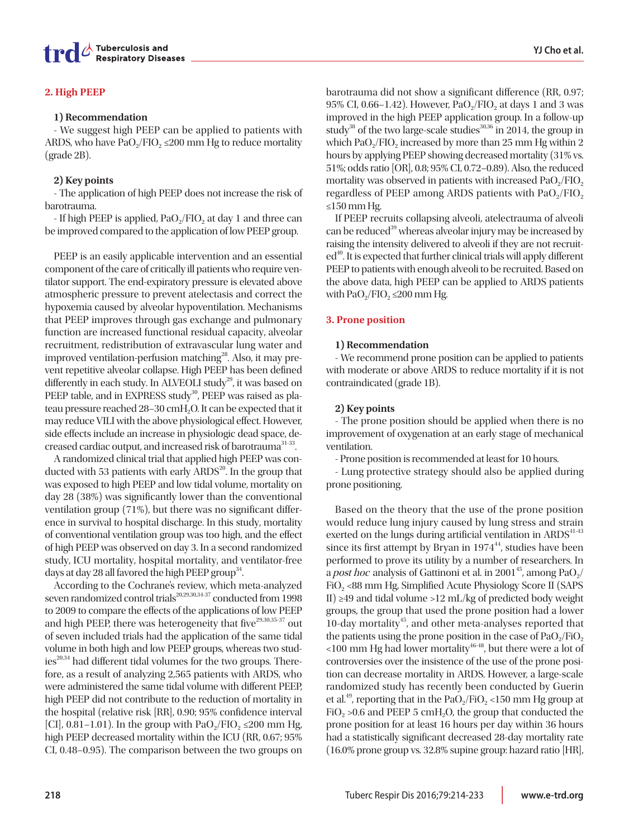# **2. High PEEP**

#### **1) Recommendation**

- We suggest high PEEP can be applied to patients with ARDS, who have  $PaO<sub>2</sub>/FIO<sub>2</sub> \le 200$  mm Hg to reduce mortality (grade 2B).

### **2) Key points**

- The application of high PEEP does not increase the risk of barotrauma.

- If high PEEP is applied,  $PaO<sub>2</sub>/FIO<sub>2</sub>$  at day 1 and three can be improved compared to the application of low PEEP group.

PEEP is an easily applicable intervention and an essential component of the care of critically ill patients who require ventilator support. The end-expiratory pressure is elevated above atmospheric pressure to prevent atelectasis and correct the hypoxemia caused by alveolar hypoventilation. Mechanisms that PEEP improves through gas exchange and pulmonary function are increased functional residual capacity, alveolar recruitment, redistribution of extravascular lung water and improved ventilation-perfusion matching<sup>28</sup>. Also, it may prevent repetitive alveolar collapse. High PEEP has been defined differently in each study. In ALVEOLI study<sup>29</sup>, it was based on PEEP table, and in EXPRESS study<sup>30</sup>, PEEP was raised as plateau pressure reached 28-30 cmH<sub>2</sub>O. It can be expected that it may reduce VILI with the above physiological effect. However, side effects include an increase in physiologic dead space, decreased cardiac output, and increased risk of barotrauma<sup>31-33</sup>.

A randomized clinical trial that applied high PEEP was conducted with 53 patients with early  $ARDS<sup>20</sup>$ . In the group that was exposed to high PEEP and low tidal volume, mortality on day 28 (38%) was significantly lower than the conventional ventilation group (71%), but there was no significant difference in survival to hospital discharge. In this study, mortality of conventional ventilation group was too high, and the effect of high PEEP was observed on day 3. In a second randomized study, ICU mortality, hospital mortality, and ventilator-free days at day 28 all favored the high PEEP group<sup>34</sup>.

According to the Cochrane's review, which meta-analyzed seven randomized control trials<sup>20,29,30,34-37</sup> conducted from 1998 to 2009 to compare the effects of the applications of low PEEP and high PEEP, there was heterogeneity that five<sup>29,30,35-37</sup> out of seven included trials had the application of the same tidal volume in both high and low PEEP groups, whereas two stud $ies^{20,34}$  had different tidal volumes for the two groups. Therefore, as a result of analyzing 2,565 patients with ARDS, who were administered the same tidal volume with different PEEP, high PEEP did not contribute to the reduction of mortality in the hospital (relative risk [RR], 0.90; 95% confidence interval [CI],  $0.81-1.01$ ). In the group with PaO<sub>2</sub>/FIO<sub>2</sub> ≤200 mm Hg, high PEEP decreased mortality within the ICU (RR, 0.67; 95% CI, 0.48–0.95). The comparison between the two groups on barotrauma did not show a significant difference (RR, 0.97; 95% CI, 0.66–1.42). However,  $PaO<sub>2</sub>/FIO<sub>2</sub>$  at days 1 and 3 was improved in the high PEEP application group. In a follow-up study<sup>38</sup> of the two large-scale studies<sup>30,36</sup> in 2014, the group in which PaO<sub>2</sub>/FIO<sub>2</sub> increased by more than 25 mm Hg within 2 hours by applying PEEP showing decreased mortality (31% vs. 51%; odds ratio [OR], 0.8; 95% CI, 0.72–0.89). Also, the reduced mortality was observed in patients with increased  $PaO<sub>2</sub>/FIO<sub>2</sub>$ regardless of PEEP among ARDS patients with  $PaO<sub>2</sub>/FIO<sub>2</sub>$ ≤150 mm Hg.

If PEEP recruits collapsing alveoli, atelectrauma of alveoli can be reduced<sup>39</sup> whereas alveolar injury may be increased by raising the intensity delivered to alveoli if they are not recruit $ed<sup>40</sup>$ . It is expected that further clinical trials will apply different PEEP to patients with enough alveoli to be recruited. Based on the above data, high PEEP can be applied to ARDS patients with  $PaO<sub>2</sub>/FIO<sub>2</sub> \le 200$  mm Hg.

# **3. Prone position**

#### **1) Recommendation**

- We recommend prone position can be applied to patients with moderate or above ARDS to reduce mortality if it is not contraindicated (grade 1B).

# **2) Key points**

- The prone position should be applied when there is no improvement of oxygenation at an early stage of mechanical ventilation.

- Prone position is recommended at least for 10 hours.

- Lung protective strategy should also be applied during prone positioning.

Based on the theory that the use of the prone position would reduce lung injury caused by lung stress and strain exerted on the lungs during artificial ventilation in  $ARDS^{41-43}$ since its first attempt by Bryan in  $1974<sup>44</sup>$ , studies have been performed to prove its utility by a number of researchers. In a *post hoc* analysis of Gattinoni et al. in 2001<sup>45</sup>, among PaO<sub>2</sub>/ FiO<sub>2</sub> <88 mm Hg, Simplified Acute Physiology Score II (SAPS II) ≥49 and tidal volume >12 mL/kg of predicted body weight groups, the group that used the prone position had a lower 10-day mortality<sup>45</sup>, and other meta-analyses reported that the patients using the prone position in the case of  $PaO<sub>2</sub>/FiO<sub>2</sub>$  $100$  mm Hg had lower mortality<sup>46-48</sup>, but there were a lot of controversies over the insistence of the use of the prone position can decrease mortality in ARDS. However, a large-scale randomized study has recently been conducted by Guerin et al.<sup>49</sup>, reporting that in the PaO<sub>2</sub>/FiO<sub>2</sub> <150 mm Hg group at FiO<sub>2</sub> > 0.6 and PEEP 5 cmH<sub>2</sub>O, the group that conducted the prone position for at least 16 hours per day within 36 hours had a statistically significant decreased 28-day mortality rate (16.0% prone group vs. 32.8% supine group: hazard ratio [HR],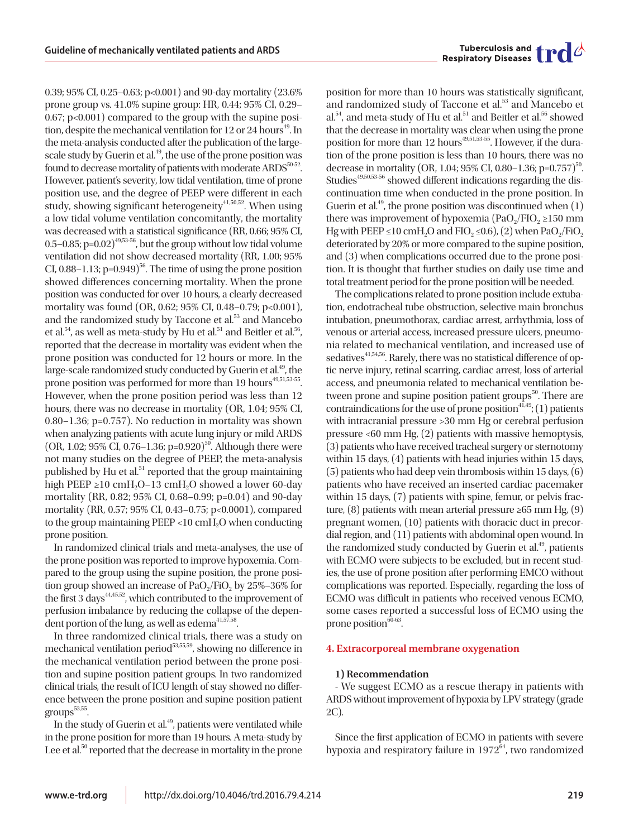0.39; 95% CI, 0.25–0.63; p<0.001) and 90-day mortality (23.6% prone group vs. 41.0% supine group: HR, 0.44; 95% CI, 0.29– 0.67; p<0.001) compared to the group with the supine position, despite the mechanical ventilation for 12 or 24 hours<sup>49</sup>. In the meta-analysis conducted after the publication of the largescale study by Guerin et al.<sup>49</sup>, the use of the prone position was found to decrease mortality of patients with moderate ARDS<sup>50-52</sup>. However, patient's severity, low tidal ventilation, time of prone position use, and the degree of PEEP were different in each study, showing significant heterogeneity $41,50,52$ . When using a low tidal volume ventilation concomitantly, the mortality was decreased with a statistical significance (RR, 0.66; 95% CI, 0.5–0.85; p=0.02) $^{49,53\text{-}56}$ , but the group without low tidal volume ventilation did not show decreased mortality (RR, 1.00; 95% CI,  $0.88-1.13$ ;  $p=0.949$ <sup>56</sup>. The time of using the prone position showed differences concerning mortality. When the prone position was conducted for over 10 hours, a clearly decreased mortality was found (OR, 0.62; 95% CI, 0.48–0.79; p<0.001), and the randomized study by Taccone et al.<sup>53</sup> and Mancebo et al.<sup>54</sup>, as well as meta-study by Hu et al.<sup>51</sup> and Beitler et al.<sup>56</sup>, reported that the decrease in mortality was evident when the prone position was conducted for 12 hours or more. In the large-scale randomized study conducted by Guerin et al.<sup>49</sup>, the prone position was performed for more than 19 hours<sup>49,51,53-55</sup>. However, when the prone position period was less than 12 hours, there was no decrease in mortality (OR, 1.04; 95% CI, 0.80–1.36; p=0.757). No reduction in mortality was shown when analyzing patients with acute lung injury or mild ARDS (OR, 1.02;  $95\%$  CI, 0.76–1.36; p=0.920)<sup>50</sup>. Although there were not many studies on the degree of PEEP, the meta-analysis published by Hu et al.<sup>51</sup> reported that the group maintaining high PEEP  $\geq$ 10 cmH<sub>2</sub>O–13 cmH<sub>2</sub>O showed a lower 60-day mortality (RR, 0.82; 95% CI, 0.68–0.99; p=0.04) and 90-day mortality (RR, 0.57; 95% CI, 0.43–0.75; p<0.0001), compared to the group maintaining PEEP <10 cmH<sub>2</sub>O when conducting prone position.

In randomized clinical trials and meta-analyses, the use of the prone position was reported to improve hypoxemia. Compared to the group using the supine position, the prone position group showed an increase of  $PaO<sub>2</sub>/FiO<sub>2</sub>$  by 25%–36% for the first 3 days<sup> $44,45,52$ </sup>, which contributed to the improvement of perfusion imbalance by reducing the collapse of the dependent portion of the lung, as well as edema $41,57,58$ .

In three randomized clinical trials, there was a study on mechanical ventilation period<sup>53,55,59</sup>, showing no difference in the mechanical ventilation period between the prone position and supine position patient groups. In two randomized clinical trials, the result of ICU length of stay showed no difference between the prone position and supine position patient  $groups<sup>53,55</sup>.$ 

In the study of Guerin et al.<sup>49</sup>, patients were ventilated while in the prone position for more than 19 hours. A meta-study by Lee et al.<sup>50</sup> reported that the decrease in mortality in the prone position for more than 10 hours was statistically significant, and randomized study of Taccone et al.<sup>53</sup> and Mancebo et al.<sup>54</sup>, and meta-study of Hu et al.<sup>51</sup> and Beitler et al.<sup>56</sup> showed that the decrease in mortality was clear when using the prone position for more than 12 hours<sup>49,51,53-55</sup>. However, if the duration of the prone position is less than 10 hours, there was no decrease in mortality (OR, 1.04; 95% CI, 0.80–1.36; p=0.757)<sup>50</sup>. Studies<sup>49,50,53-56</sup> showed different indications regarding the discontinuation time when conducted in the prone position. In Guerin et al.<sup>49</sup>, the prone position was discontinued when  $(1)$ there was improvement of hypoxemia (PaO<sub>2</sub>/FIO<sub>2</sub> ≥150 mm Hg with PEEP ≤10 cmH<sub>2</sub>O and FIO<sub>2</sub> ≤0.6), (2) when PaO<sub>2</sub>/FiO<sub>2</sub> deteriorated by 20% or more compared to the supine position, and (3) when complications occurred due to the prone position. It is thought that further studies on daily use time and total treatment period for the prone position will be needed.

The complications related to prone position include extubation, endotracheal tube obstruction, selective main bronchus intubation, pneumothorax, cardiac arrest, arrhythmia, loss of venous or arterial access, increased pressure ulcers, pneumonia related to mechanical ventilation, and increased use of sedatives<sup>41,54,56</sup>. Rarely, there was no statistical difference of optic nerve injury, retinal scarring, cardiac arrest, loss of arterial access, and pneumonia related to mechanical ventilation between prone and supine position patient groups $50$ . There are contraindications for the use of prone position<sup>4 $\hat{1},49$ </sup>; (1) patients with intracranial pressure >30 mm Hg or cerebral perfusion pressure <60 mm Hg, (2) patients with massive hemoptysis, (3) patients who have received tracheal surgery or sternotomy within 15 days, (4) patients with head injuries within 15 days, (5) patients who had deep vein thrombosis within 15 days, (6) patients who have received an inserted cardiac pacemaker within 15 days, (7) patients with spine, femur, or pelvis fracture, (8) patients with mean arterial pressure  $\geq 65$  mm Hg, (9) pregnant women, (10) patients with thoracic duct in precordial region, and (11) patients with abdominal open wound. In the randomized study conducted by Guerin et  $al^{49}$ , patients with ECMO were subjects to be excluded, but in recent studies, the use of prone position after performing EMCO without complications was reported. Especially, regarding the loss of ECMO was difficult in patients who received venous ECMO, some cases reported a successful loss of ECMO using the prone position $60-63$ .

#### **4. Extracorporeal membrane oxygenation**

#### **1) Recommendation**

- We suggest ECMO as a rescue therapy in patients with ARDS without improvement of hypoxia by LPV strategy (grade 2C).

Since the first application of ECMO in patients with severe hypoxia and respiratory failure in  $1972<sup>64</sup>$ , two randomized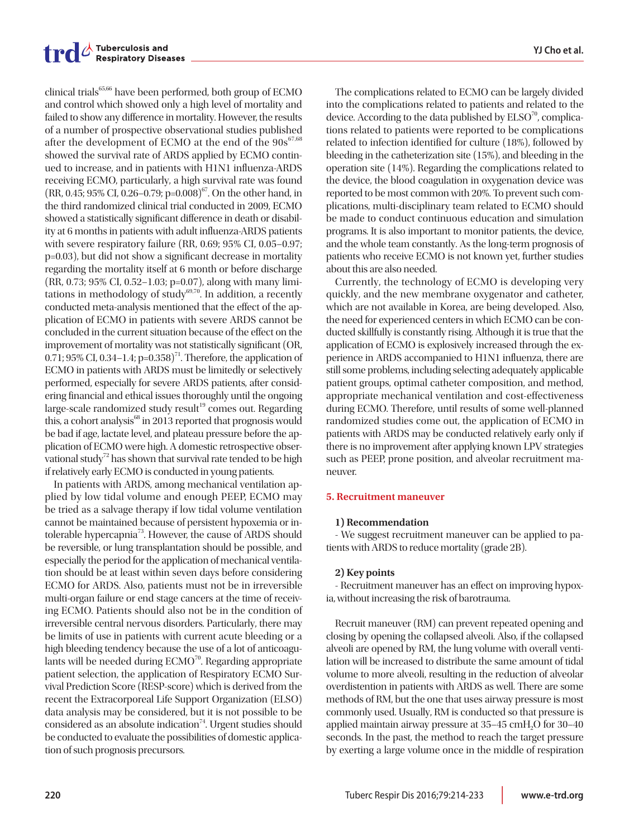clinical trials65,66 have been performed, both group of ECMO and control which showed only a high level of mortality and failed to show any difference in mortality. However, the results of a number of prospective observational studies published after the development of ECMO at the end of the  $90s^{67,68}$ showed the survival rate of ARDS applied by ECMO continued to increase, and in patients with H1N1 influenza-ARDS receiving ECMO, particularly, a high survival rate was found (RR, 0.45; 95% CI, 0.26–0.79; p=0.008)<sup>67</sup>. On the other hand, in the third randomized clinical trial conducted in 2009, ECMO showed a statistically significant difference in death or disability at 6 months in patients with adult influenza-ARDS patients with severe respiratory failure (RR, 0.69; 95% CI, 0.05–0.97; p=0.03), but did not show a significant decrease in mortality regarding the mortality itself at 6 month or before discharge (RR, 0.73; 95% CI, 0.52–1.03; p=0.07), along with many limitations in methodology of study $69,70$ . In addition, a recently conducted meta-analysis mentioned that the effect of the application of ECMO in patients with severe ARDS cannot be concluded in the current situation because of the effect on the improvement of mortality was not statistically significant (OR, 0.71; 95% CI, 0.34–1.4;  $p=0.358$ <sup>71</sup>. Therefore, the application of ECMO in patients with ARDS must be limitedly or selectively performed, especially for severe ARDS patients, after considering financial and ethical issues thoroughly until the ongoing  $large-scale$  randomized study result<sup>19</sup> comes out. Regarding this, a cohort analysis $^{68}$  in 2013 reported that prognosis would be bad if age, lactate level, and plateau pressure before the application of ECMO were high. A domestic retrospective observational study<sup>72</sup> has shown that survival rate tended to be high if relatively early ECMO is conducted in young patients.

In patients with ARDS, among mechanical ventilation applied by low tidal volume and enough PEEP, ECMO may be tried as a salvage therapy if low tidal volume ventilation cannot be maintained because of persistent hypoxemia or intolerable hypercapnia73. However, the cause of ARDS should be reversible, or lung transplantation should be possible, and especially the period for the application of mechanical ventilation should be at least within seven days before considering ECMO for ARDS. Also, patients must not be in irreversible multi-organ failure or end stage cancers at the time of receiving ECMO. Patients should also not be in the condition of irreversible central nervous disorders. Particularly, there may be limits of use in patients with current acute bleeding or a high bleeding tendency because the use of a lot of anticoagulants will be needed during  $ECMO<sup>70</sup>$ . Regarding appropriate patient selection, the application of Respiratory ECMO Survival Prediction Score (RESP-score) which is derived from the recent the Extracorporeal Life Support Organization (ELSO) data analysis may be considered, but it is not possible to be considered as an absolute indication<sup>74</sup>. Urgent studies should be conducted to evaluate the possibilities of domestic application of such prognosis precursors.

The complications related to ECMO can be largely divided into the complications related to patients and related to the device. According to the data published by  $ELSO<sup>70</sup>$ , complications related to patients were reported to be complications related to infection identified for culture (18%), followed by bleeding in the catheterization site (15%), and bleeding in the operation site (14%). Regarding the complications related to the device, the blood coagulation in oxygenation device was reported to be most common with 20%. To prevent such complications, multi-disciplinary team related to ECMO should be made to conduct continuous education and simulation programs. It is also important to monitor patients, the device, and the whole team constantly. As the long-term prognosis of patients who receive ECMO is not known yet, further studies about this are also needed.

Currently, the technology of ECMO is developing very quickly, and the new membrane oxygenator and catheter, which are not available in Korea, are being developed. Also, the need for experienced centers in which ECMO can be conducted skillfully is constantly rising. Although it is true that the application of ECMO is explosively increased through the experience in ARDS accompanied to H1N1 influenza, there are still some problems, including selecting adequately applicable patient groups, optimal catheter composition, and method, appropriate mechanical ventilation and cost-effectiveness during ECMO. Therefore, until results of some well-planned randomized studies come out, the application of ECMO in patients with ARDS may be conducted relatively early only if there is no improvement after applying known LPV strategies such as PEEP, prone position, and alveolar recruitment maneuver.

#### **5. Recruitment maneuver**

# **1) Recommendation**

- We suggest recruitment maneuver can be applied to patients with ARDS to reduce mortality (grade 2B).

#### **2) Key points**

- Recruitment maneuver has an effect on improving hypoxia, without increasing the risk of barotrauma.

Recruit maneuver (RM) can prevent repeated opening and closing by opening the collapsed alveoli. Also, if the collapsed alveoli are opened by RM, the lung volume with overall ventilation will be increased to distribute the same amount of tidal volume to more alveoli, resulting in the reduction of alveolar overdistention in patients with ARDS as well. There are some methods of RM, but the one that uses airway pressure is most commonly used. Usually, RM is conducted so that pressure is applied maintain airway pressure at  $35-45$  cmH<sub>2</sub>O for  $30-40$ seconds. In the past, the method to reach the target pressure by exerting a large volume once in the middle of respiration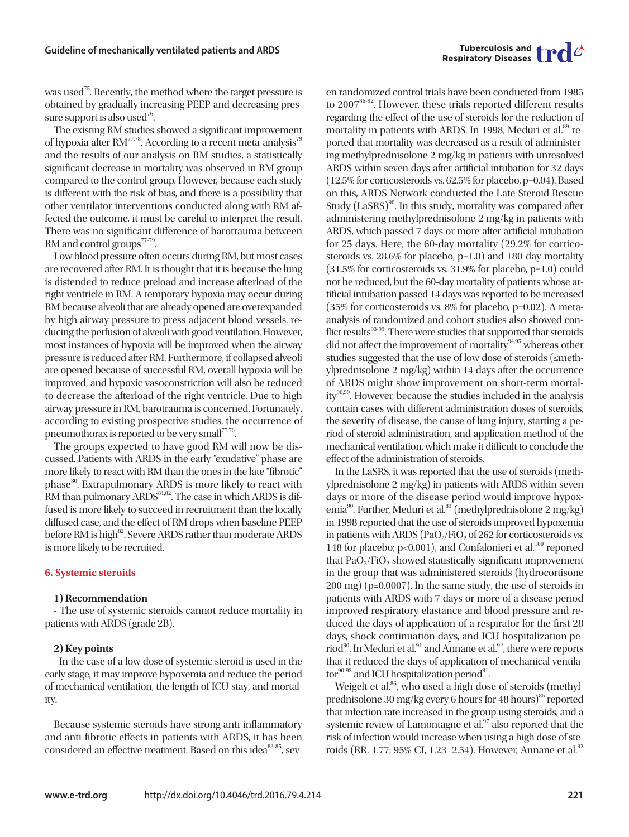was used<sup>75</sup>. Recently, the method where the target pressure is obtained by gradually increasing PEEP and decreasing pressure support is also used<sup>76</sup>.

The existing RM studies showed a significant improvement of hypoxia after RM<sup>77,78</sup>. According to a recent meta-analysis<sup>79</sup> and the results of our analysis on RM studies, a statistically significant decrease in mortality was observed in RM group compared to the control group. However, because each study is different with the risk of bias, and there is a possibility that other ventilator interventions conducted along with RM affected the outcome, it must be careful to interpret the result. There was no significant difference of barotrauma between RM and control groups<sup>77-79</sup>.

Low blood pressure often occurs during RM, but most cases are recovered after RM. It is thought that it is because the lung is distended to reduce preload and increase afterload of the right ventricle in RM. A temporary hypoxia may occur during RM because alveoli that are already opened are overexpanded by high airway pressure to press adjacent blood vessels, reducing the perfusion of alveoli with good ventilation. However, most instances of hypoxia will be improved when the airway pressure is reduced after RM. Furthermore, if collapsed alveoli are opened because of successful RM, overall hypoxia will be improved, and hypoxic vasoconstriction will also be reduced to decrease the afterload of the right ventricle. Due to high airway pressure in RM, barotrauma is concerned. Fortunately, according to existing prospective studies, the occurrence of pneumothorax is reported to be very small<sup>77,78</sup>.

The groups expected to have good RM will now be discussed. Patients with ARDS in the early "exudative" phase are more likely to react with RM than the ones in the late "fibrotic" phase<sup>80</sup>. Extrapulmonary ARDS is more likely to react with RM than pulmonary  $ARDS^{81,82}$ . The case in which ARDS is diffused is more likely to succeed in recruitment than the locally diffused case, and the effect of RM drops when baseline PEEP before RM is high<sup>82</sup>. Severe ARDS rather than moderate ARDS is more likely to be recruited.

#### **6. Systemic steroids**

#### **1) Recommendation**

- The use of systemic steroids cannot reduce mortality in patients with ARDS (grade 2B).

#### **2) Key points**

- In the case of a low dose of systemic steroid is used in the early stage, it may improve hypoxemia and reduce the period of mechanical ventilation, the length of ICU stay, and mortality.

Because systemic steroids have strong anti-inflammatory and anti-fibrotic effects in patients with ARDS, it has been considered an effective treatment. Based on this idea<sup>83-85</sup>, seven randomized control trials have been conducted from 1985 to 2007<sup>86-92</sup>. However, these trials reported different results regarding the effect of the use of steroids for the reduction of mortality in patients with ARDS. In 1998, Meduri et al.<sup>89</sup> reported that mortality was decreased as a result of administering methylprednisolone 2 mg/kg in patients with unresolved ARDS within seven days after artificial intubation for 32 days (12.5% for corticosteroids vs. 62.5% for placebo, p=0.04). Based on this, ARDS Network conducted the Late Steroid Rescue Study (LaSRS)<sup>90</sup>. In this study, mortality was compared after administering methylprednisolone 2 mg/kg in patients with ARDS, which passed 7 days or more after artificial intubation for 25 days. Here, the 60-day mortality (29.2% for corticosteroids vs. 28.6% for placebo, p=1.0) and 180-day mortality (31.5% for corticosteroids vs. 31.9% for placebo, p=1.0) could not be reduced, but the 60-day mortality of patients whose artificial intubation passed 14 days was reported to be increased (35% for corticosteroids vs. 8% for placebo, p=0.02). A metaanalysis of randomized and cohort studies also showed conflict results<sup>93-99</sup>. There were studies that supported that steroids did not affect the improvement of mortality $94,95$  whereas other studies suggested that the use of low dose of steroids (≤methylprednisolone 2 mg/kg) within 14 days after the occurrence of ARDS might show improvement on short-term mortal $ity^{96,99}$ . However, because the studies included in the analysis contain cases with different administration doses of steroids, the severity of disease, the cause of lung injury, starting a period of steroid administration, and application method of the mechanical ventilation, which make it difficult to conclude the effect of the administration of steroids.

In the LaSRS, it was reported that the use of steroids (methylprednisolone 2 mg/kg) in patients with ARDS within seven days or more of the disease period would improve hypoxemia<sup>90</sup>. Further, Meduri et al.<sup>89</sup> (methylprednisolone 2 mg/kg) in 1998 reported that the use of steroids improved hypoxemia in patients with ARDS (PaO<sub>2</sub>/FiO<sub>2</sub> of 262 for corticosteroids vs. 148 for placebo;  $p<0.001$ ), and Confalonieri et al.<sup>100</sup> reported that  $PaO<sub>2</sub>/FiO<sub>2</sub>$  showed statistically significant improvement in the group that was administered steroids (hydrocortisone 200 mg) (p=0.0007). In the same study, the use of steroids in patients with ARDS with 7 days or more of a disease period improved respiratory elastance and blood pressure and reduced the days of application of a respirator for the first 28 days, shock continuation days, and ICU hospitalization period<sup>90</sup>. In Meduri et al.<sup>91</sup> and Annane et al.<sup>92</sup>, there were reports that it reduced the days of application of mechanical ventila- $\text{tor}^{90-92}$  and ICU hospitalization period<sup>91</sup>.

Weigelt et al. $86$ , who used a high dose of steroids (methylprednisolone 30 mg/kg every 6 hours for 48 hours)<sup>86</sup> reported that infection rate increased in the group using steroids, and a systemic review of Lamontagne et  $al.^{97}$  also reported that the risk of infection would increase when using a high dose of steroids (RR, 1.77; 95% CI, 1.23–2.54). However, Annane et al.<sup>92</sup>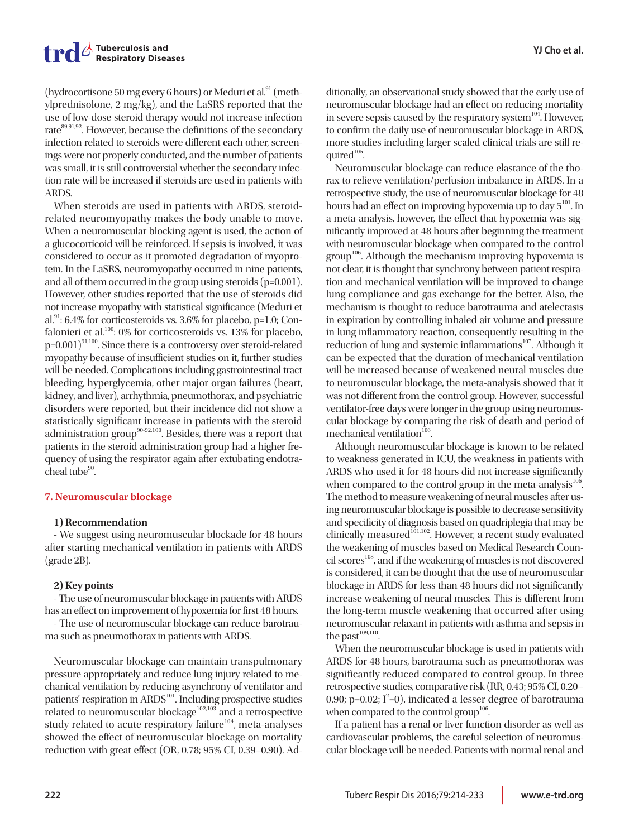(hydrocortisone 50 mg every 6 hours) or Meduri et al. $91$  (methylprednisolone, 2 mg/kg), and the LaSRS reported that the use of low-dose steroid therapy would not increase infection rate<sup>89,91,92</sup>. However, because the definitions of the secondary infection related to steroids were different each other, screenings were not properly conducted, and the number of patients was small, it is still controversial whether the secondary infection rate will be increased if steroids are used in patients with ARDS.

When steroids are used in patients with ARDS, steroidrelated neuromyopathy makes the body unable to move. When a neuromuscular blocking agent is used, the action of a glucocorticoid will be reinforced. If sepsis is involved, it was considered to occur as it promoted degradation of myoprotein. In the LaSRS, neuromyopathy occurred in nine patients, and all of them occurred in the group using steroids (p=0.001). However, other studies reported that the use of steroids did not increase myopathy with statistical significance (Meduri et al. $91$ : 6.4% for corticosteroids vs. 3.6% for placebo, p=1.0; Confalonieri et al.<sup>100</sup>: 0% for corticosteroids vs. 13% for placebo,  $p=0.001$ <sup>91,100</sup>. Since there is a controversy over steroid-related myopathy because of insufficient studies on it, further studies will be needed. Complications including gastrointestinal tract bleeding, hyperglycemia, other major organ failures (heart, kidney, and liver), arrhythmia, pneumothorax, and psychiatric disorders were reported, but their incidence did not show a statistically significant increase in patients with the steroid administration group<sup>90-92,100</sup>. Besides, there was a report that patients in the steroid administration group had a higher frequency of using the respirator again after extubating endotracheal tube $90$ .

#### **7. Neuromuscular blockage**

#### **1) Recommendation**

- We suggest using neuromuscular blockade for 48 hours after starting mechanical ventilation in patients with ARDS (grade 2B).

#### **2) Key points**

- The use of neuromuscular blockage in patients with ARDS has an effect on improvement of hypoxemia for first 48 hours.

- The use of neuromuscular blockage can reduce barotrauma such as pneumothorax in patients with ARDS.

Neuromuscular blockage can maintain transpulmonary pressure appropriately and reduce lung injury related to mechanical ventilation by reducing asynchrony of ventilator and patients' respiration in ARDS<sup>101</sup>. Including prospective studies related to neuromuscular blockage<sup>102,103</sup> and a retrospective study related to acute respiratory failure<sup>104</sup>, meta-analyses showed the effect of neuromuscular blockage on mortality reduction with great effect (OR, 0.78; 95% CI, 0.39–0.90). Ad-

ditionally, an observational study showed that the early use of neuromuscular blockage had an effect on reducing mortality in severe sepsis caused by the respiratory system<sup>104</sup>. However, to confirm the daily use of neuromuscular blockage in ARDS, more studies including larger scaled clinical trials are still required<sup>105</sup>.

Neuromuscular blockage can reduce elastance of the thorax to relieve ventilation/perfusion imbalance in ARDS. In a retrospective study, the use of neuromuscular blockage for 48 hours had an effect on improving hypoxemia up to day  $5^{101}$ . In a meta-analysis, however, the effect that hypoxemia was significantly improved at 48 hours after beginning the treatment with neuromuscular blockage when compared to the control  $\text{group}^{106}$ . Although the mechanism improving hypoxemia is not clear, it is thought that synchrony between patient respiration and mechanical ventilation will be improved to change lung compliance and gas exchange for the better. Also, the mechanism is thought to reduce barotrauma and atelectasis in expiration by controlling inhaled air volume and pressure in lung inflammatory reaction, consequently resulting in the reduction of lung and systemic inflammations<sup>107</sup>. Although it can be expected that the duration of mechanical ventilation will be increased because of weakened neural muscles due to neuromuscular blockage, the meta-analysis showed that it was not different from the control group. However, successful ventilator-free days were longer in the group using neuromuscular blockage by comparing the risk of death and period of mechanical ventilation $^{106}$ .

Although neuromuscular blockage is known to be related to weakness generated in ICU, the weakness in patients with ARDS who used it for 48 hours did not increase significantly when compared to the control group in the meta-analysis $106$ . The method to measure weakening of neural muscles after using neuromuscular blockage is possible to decrease sensitivity and specificity of diagnosis based on quadriplegia that may be clinically measured<sup>101,102</sup>. However, a recent study evaluated the weakening of muscles based on Medical Research Coun $cil$  scores<sup>108</sup>, and if the weakening of muscles is not discovered is considered, it can be thought that the use of neuromuscular blockage in ARDS for less than 48 hours did not significantly increase weakening of neural muscles. This is different from the long-term muscle weakening that occurred after using neuromuscular relaxant in patients with asthma and sepsis in the past $109,110$ .

When the neuromuscular blockage is used in patients with ARDS for 48 hours, barotrauma such as pneumothorax was significantly reduced compared to control group. In three retrospective studies, comparative risk (RR, 0.43; 95% CI, 0.20– 0.90; p=0.02;  $I^2=0$ ), indicated a lesser degree of barotrauma when compared to the control group<sup>106</sup>.

If a patient has a renal or liver function disorder as well as cardiovascular problems, the careful selection of neuromuscular blockage will be needed. Patients with normal renal and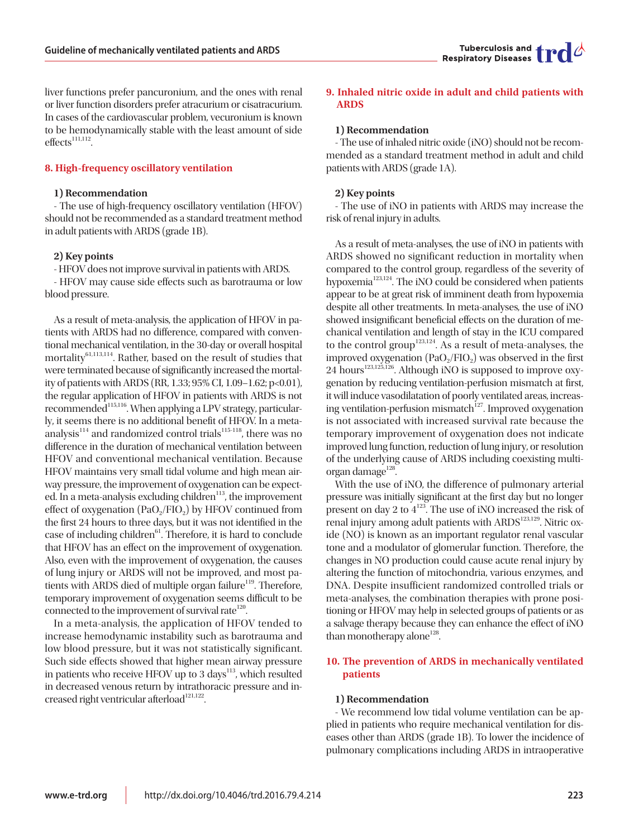liver functions prefer pancuronium, and the ones with renal or liver function disorders prefer atracurium or cisatracurium. In cases of the cardiovascular problem, vecuronium is known to be hemodynamically stable with the least amount of side  $effects<sup>111,112</sup>$ .

#### **8. High-frequency oscillatory ventilation**

#### **1) Recommendation**

- The use of high-frequency oscillatory ventilation (HFOV) should not be recommended as a standard treatment method in adult patients with ARDS (grade 1B).

#### **2) Key points**

- HFOV does not improve survival in patients with ARDS. - HFOV may cause side effects such as barotrauma or low blood pressure.

As a result of meta-analysis, the application of HFOV in patients with ARDS had no difference, compared with conventional mechanical ventilation, in the 30-day or overall hospital mortality<sup>61,113,114</sup>. Rather, based on the result of studies that were terminated because of significantly increased the mortality of patients with ARDS (RR, 1.33; 95% CI, 1.09–1.62; p<0.01), the regular application of HFOV in patients with ARDS is not recommended<sup>115,116</sup>. When applying a LPV strategy, particularly, it seems there is no additional benefit of HFOV. In a metaanalysis $114$  and randomized control trials<sup>115-118</sup>, there was no difference in the duration of mechanical ventilation between HFOV and conventional mechanical ventilation. Because HFOV maintains very small tidal volume and high mean airway pressure, the improvement of oxygenation can be expected. In a meta-analysis excluding children<sup>113</sup>, the improvement effect of oxygenation  $(PaO<sub>2</sub>/FIO<sub>2</sub>)$  by HFOV continued from the first 24 hours to three days, but it was not identified in the case of including children<sup>61</sup>. Therefore, it is hard to conclude that HFOV has an effect on the improvement of oxygenation. Also, even with the improvement of oxygenation, the causes of lung injury or ARDS will not be improved, and most patients with ARDS died of multiple organ failure<sup>119</sup>. Therefore, temporary improvement of oxygenation seems difficult to be connected to the improvement of survival rate $^{120}$ .

In a meta-analysis, the application of HFOV tended to increase hemodynamic instability such as barotrauma and low blood pressure, but it was not statistically significant. Such side effects showed that higher mean airway pressure in patients who receive HFOV up to 3 days $^{113}$ , which resulted in decreased venous return by intrathoracic pressure and increased right ventricular afterload $121,122$ .

# **9. Inhaled nitric oxide in adult and child patients with ARDS**

#### **1) Recommendation**

- The use of inhaled nitric oxide (iNO) should not be recommended as a standard treatment method in adult and child patients with ARDS (grade 1A).

#### **2) Key points**

- The use of iNO in patients with ARDS may increase the risk of renal injury in adults.

As a result of meta-analyses, the use of iNO in patients with ARDS showed no significant reduction in mortality when compared to the control group, regardless of the severity of hypoxemia<sup>123,124</sup>. The iNO could be considered when patients appear to be at great risk of imminent death from hypoxemia despite all other treatments. In meta-analyses, the use of iNO showed insignificant beneficial effects on the duration of mechanical ventilation and length of stay in the ICU compared to the control group<sup>123,124</sup>. As a result of meta-analyses, the improved oxygenation  $(PaO<sub>2</sub>/FIO<sub>2</sub>)$  was observed in the first  $24$  hours<sup>123,125,126</sup>. Although iNO is supposed to improve oxygenation by reducing ventilation-perfusion mismatch at first, it will induce vasodilatation of poorly ventilated areas, increasing ventilation-perfusion mismatch<sup>127</sup>. Improved oxygenation is not associated with increased survival rate because the temporary improvement of oxygenation does not indicate improved lung function, reduction of lung injury, or resolution of the underlying cause of ARDS including coexisting multiorgan damage $^{128}$ .

With the use of iNO, the difference of pulmonary arterial pressure was initially significant at the first day but no longer present on day 2 to  $4^{123}$ . The use of iNO increased the risk of renal injury among adult patients with ARDS<sup>123,129</sup>. Nitric oxide (NO) is known as an important regulator renal vascular tone and a modulator of glomerular function. Therefore, the changes in NO production could cause acute renal injury by altering the function of mitochondria, various enzymes, and DNA. Despite insufficient randomized controlled trials or meta-analyses, the combination therapies with prone positioning or HFOV may help in selected groups of patients or as a salvage therapy because they can enhance the effect of iNO than monotherapy alone $128$ .

# **10. The prevention of ARDS in mechanically ventilated patients**

#### **1) Recommendation**

- We recommend low tidal volume ventilation can be applied in patients who require mechanical ventilation for diseases other than ARDS (grade 1B). To lower the incidence of pulmonary complications including ARDS in intraoperative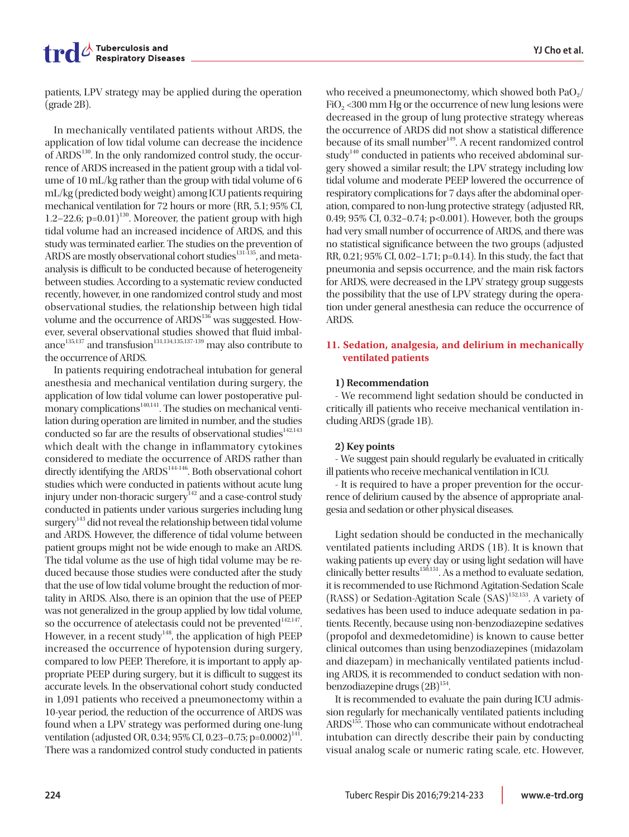patients, LPV strategy may be applied during the operation (grade 2B).

In mechanically ventilated patients without ARDS, the application of low tidal volume can decrease the incidence of  $ARDS<sup>130</sup>$ . In the only randomized control study, the occurrence of ARDS increased in the patient group with a tidal volume of 10 mL/kg rather than the group with tidal volume of 6 mL/kg (predicted body weight) among ICU patients requiring mechanical ventilation for 72 hours or more (RR, 5.1; 95% CI, 1.2–22.6;  $p=0.01$ <sup>130</sup>. Moreover, the patient group with high tidal volume had an increased incidence of ARDS, and this study was terminated earlier. The studies on the prevention of ARDS are mostly observational cohort studies<sup>131-135</sup>, and metaanalysis is difficult to be conducted because of heterogeneity between studies. According to a systematic review conducted recently, however, in one randomized control study and most observational studies, the relationship between high tidal volume and the occurrence of ARDS<sup>136</sup> was suggested. However, several observational studies showed that fluid imbalance<sup>135,137</sup> and transfusion<sup>131,134,135,137-139</sup> may also contribute to the occurrence of ARDS.

In patients requiring endotracheal intubation for general anesthesia and mechanical ventilation during surgery, the application of low tidal volume can lower postoperative pulmonary complications $140,141$ . The studies on mechanical ventilation during operation are limited in number, and the studies conducted so far are the results of observational studies $142,143$ which dealt with the change in inflammatory cytokines considered to mediate the occurrence of ARDS rather than directly identifying the  $ARDS<sup>144-146</sup>$ . Both observational cohort studies which were conducted in patients without acute lung injury under non-thoracic surgery $\frac{1}{4}$  and a case-control study conducted in patients under various surgeries including lung surgery<sup>143</sup> did not reveal the relationship between tidal volume and ARDS. However, the difference of tidal volume between patient groups might not be wide enough to make an ARDS. The tidal volume as the use of high tidal volume may be reduced because those studies were conducted after the study that the use of low tidal volume brought the reduction of mortality in ARDS. Also, there is an opinion that the use of PEEP was not generalized in the group applied by low tidal volume, so the occurrence of atelectasis could not be prevented $142,147$ . However, in a recent study<sup>148</sup>, the application of high PEEP increased the occurrence of hypotension during surgery, compared to low PEEP. Therefore, it is important to apply appropriate PEEP during surgery, but it is difficult to suggest its accurate levels. In the observational cohort study conducted in 1,091 patients who received a pneumonectomy within a 10-year period, the reduction of the occurrence of ARDS was found when a LPV strategy was performed during one-lung ventilation (adjusted OR, 0.34; 95% CI, 0.23–0.75; p=0.0002)<sup>141</sup>. There was a randomized control study conducted in patients

who received a pneumonectomy, which showed both  $PaO<sub>2</sub>/$ FiO<sub>2</sub> <300 mm Hg or the occurrence of new lung lesions were decreased in the group of lung protective strategy whereas the occurrence of ARDS did not show a statistical difference because of its small number<sup>149</sup>. A recent randomized control study<sup>140</sup> conducted in patients who received abdominal surgery showed a similar result; the LPV strategy including low tidal volume and moderate PEEP lowered the occurrence of respiratory complications for 7 days after the abdominal operation, compared to non-lung protective strategy (adjusted RR, 0.49; 95% CI, 0.32–0.74; p<0.001). However, both the groups had very small number of occurrence of ARDS, and there was no statistical significance between the two groups (adjusted RR, 0.21; 95% CI, 0.02–1.71; p=0.14). In this study, the fact that pneumonia and sepsis occurrence, and the main risk factors for ARDS, were decreased in the LPV strategy group suggests the possibility that the use of LPV strategy during the operation under general anesthesia can reduce the occurrence of ARDS.

# **11. Sedation, analgesia, and delirium in mechanically ventilated patients**

# **1) Recommendation**

- We recommend light sedation should be conducted in critically ill patients who receive mechanical ventilation including ARDS (grade 1B).

# **2) Key points**

- We suggest pain should regularly be evaluated in critically ill patients who receive mechanical ventilation in ICU.

- It is required to have a proper prevention for the occurrence of delirium caused by the absence of appropriate analgesia and sedation or other physical diseases.

Light sedation should be conducted in the mechanically ventilated patients including ARDS (1B). It is known that waking patients up every day or using light sedation will have clinically better results<sup>150,151</sup>. As a method to evaluate sedation, it is recommended to use Richmond Agitation-Sedation Scale  $(RASS)$  or Sedation-Agitation Scale  $(SAS)$ <sup>152,153</sup>. A variety of sedatives has been used to induce adequate sedation in patients. Recently, because using non-benzodiazepine sedatives (propofol and dexmedetomidine) is known to cause better clinical outcomes than using benzodiazepines (midazolam and diazepam) in mechanically ventilated patients including ARDS, it is recommended to conduct sedation with nonbenzodiazepine drugs  $(2B)^{154}$ .

It is recommended to evaluate the pain during ICU admission regularly for mechanically ventilated patients including ARDS<sup>155</sup>. Those who can communicate without endotracheal intubation can directly describe their pain by conducting visual analog scale or numeric rating scale, etc. However,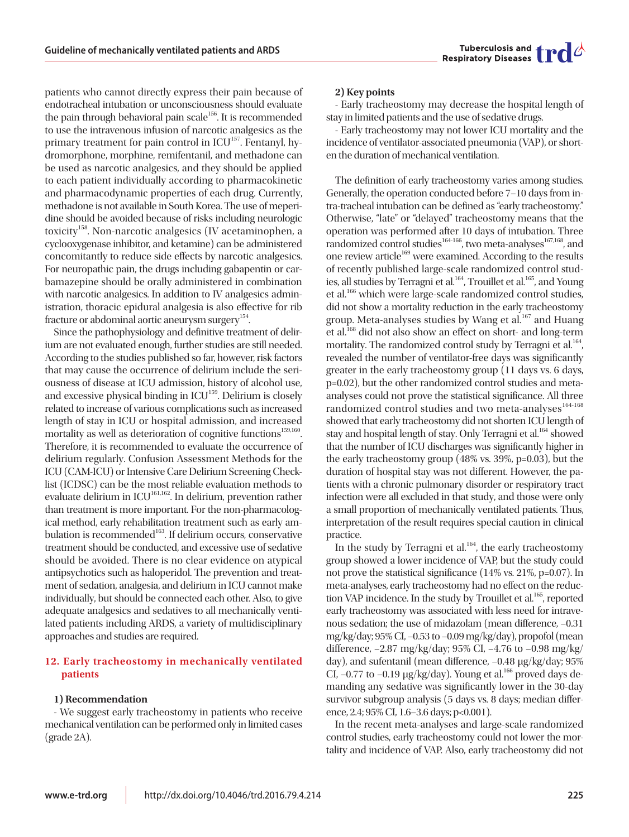

patients who cannot directly express their pain because of endotracheal intubation or unconsciousness should evaluate the pain through behavioral pain scale<sup>156</sup>. It is recommended to use the intravenous infusion of narcotic analgesics as the primary treatment for pain control in ICU<sup>157</sup>. Fentanyl, hydromorphone, morphine, remifentanil, and methadone can be used as narcotic analgesics, and they should be applied to each patient individually according to pharmacokinetic and pharmacodynamic properties of each drug. Currently, methadone is not available in South Korea. The use of meperidine should be avoided because of risks including neurologic toxicity<sup>158</sup>. Non-narcotic analgesics (IV acetaminophen, a cyclooxygenase inhibitor, and ketamine) can be administered concomitantly to reduce side effects by narcotic analgesics. For neuropathic pain, the drugs including gabapentin or carbamazepine should be orally administered in combination with narcotic analgesics. In addition to IV analgesics administration, thoracic epidural analgesia is also effective for rib fracture or abdominal aortic aneurysm surgery $154$ .

Since the pathophysiology and definitive treatment of delirium are not evaluated enough, further studies are still needed. According to the studies published so far, however, risk factors that may cause the occurrence of delirium include the seriousness of disease at ICU admission, history of alcohol use, and excessive physical binding in  $ICU<sup>159</sup>$ . Delirium is closely related to increase of various complications such as increased length of stay in ICU or hospital admission, and increased mortality as well as deterioration of cognitive functions<sup>159,160</sup>. Therefore, it is recommended to evaluate the occurrence of delirium regularly. Confusion Assessment Methods for the ICU (CAM-ICU) or Intensive Care Delirium Screening Checklist (ICDSC) can be the most reliable evaluation methods to evaluate delirium in ICU<sup>161,162</sup>. In delirium, prevention rather than treatment is more important. For the non-pharmacological method, early rehabilitation treatment such as early ambulation is recommended<sup>163</sup>. If delirium occurs, conservative treatment should be conducted, and excessive use of sedative should be avoided. There is no clear evidence on atypical antipsychotics such as haloperidol. The prevention and treatment of sedation, analgesia, and delirium in ICU cannot make individually, but should be connected each other. Also, to give adequate analgesics and sedatives to all mechanically ventilated patients including ARDS, a variety of multidisciplinary approaches and studies are required.

# **12. Early tracheostomy in mechanically ventilated patients**

#### **1) Recommendation**

- We suggest early tracheostomy in patients who receive mechanical ventilation can be performed only in limited cases (grade 2A).

#### **2) Key points**

- Early tracheostomy may decrease the hospital length of stay in limited patients and the use of sedative drugs.

- Early tracheostomy may not lower ICU mortality and the incidence of ventilator-associated pneumonia (VAP), or shorten the duration of mechanical ventilation.

The definition of early tracheostomy varies among studies. Generally, the operation conducted before 7–10 days from intra-tracheal intubation can be defined as "early tracheostomy." Otherwise, "late" or "delayed" tracheostomy means that the operation was performed after 10 days of intubation. Three randomized control studies<sup>164-166</sup>, two meta-analyses<sup>167,168</sup>, and one review article<sup>169</sup> were examined. According to the results of recently published large-scale randomized control studies, all studies by Terragni et al.<sup>164</sup>, Trouillet et al.<sup>165</sup>, and Young et al.166 which were large-scale randomized control studies, did not show a mortality reduction in the early tracheostomy group. Meta-analyses studies by Wang et al.<sup>167</sup> and Huang et al.<sup>168</sup> did not also show an effect on short- and long-term mortality. The randomized control study by Terragni et al.<sup>164</sup>, revealed the number of ventilator-free days was significantly greater in the early tracheostomy group (11 days vs. 6 days, p=0.02), but the other randomized control studies and metaanalyses could not prove the statistical significance. All three randomized control studies and two meta-analyses<sup>164-168</sup> showed that early tracheostomy did not shorten ICU length of stay and hospital length of stay. Only Terragni et al.<sup>164</sup> showed that the number of ICU discharges was significantly higher in the early tracheostomy group (48% vs. 39%, p=0.03), but the duration of hospital stay was not different. However, the patients with a chronic pulmonary disorder or respiratory tract infection were all excluded in that study, and those were only a small proportion of mechanically ventilated patients. Thus, interpretation of the result requires special caution in clinical practice.

In the study by Terragni et al. $164$ , the early tracheostomy group showed a lower incidence of VAP, but the study could not prove the statistical significance (14% vs. 21%, p=0.07). In meta-analyses, early tracheostomy had no effect on the reduction VAP incidence. In the study by Trouillet et al.<sup>165</sup>, reported early tracheostomy was associated with less need for intravenous sedation; the use of midazolam (mean difference, –0.31 mg/kg/day; 95% CI, –0.53 to –0.09 mg/kg/day), propofol (mean difference, –2.87 mg/kg/day; 95% CI, –4.76 to –0.98 mg/kg/ day), and sufentanil (mean difference, –0.48 µg/kg/day; 95% CI,  $-0.77$  to  $-0.19$  µg/kg/day). Young et al.<sup>166</sup> proved days demanding any sedative was significantly lower in the 30-day survivor subgroup analysis (5 days vs. 8 days; median difference, 2.4; 95% CI, 1.6–3.6 days; p<0.001).

In the recent meta-analyses and large-scale randomized control studies, early tracheostomy could not lower the mortality and incidence of VAP. Also, early tracheostomy did not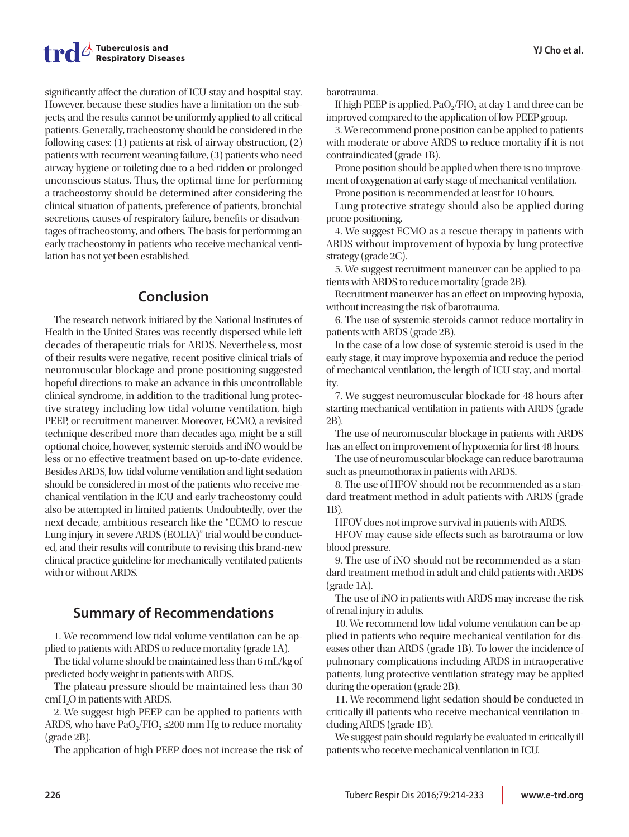significantly affect the duration of ICU stay and hospital stay. However, because these studies have a limitation on the subjects, and the results cannot be uniformly applied to all critical patients. Generally, tracheostomy should be considered in the following cases: (1) patients at risk of airway obstruction, (2) patients with recurrent weaning failure, (3) patients who need airway hygiene or toileting due to a bed-ridden or prolonged unconscious status. Thus, the optimal time for performing a tracheostomy should be determined after considering the clinical situation of patients, preference of patients, bronchial secretions, causes of respiratory failure, benefits or disadvantages of tracheostomy, and others. The basis for performing an early tracheostomy in patients who receive mechanical ventilation has not yet been established.

# **Conclusion**

The research network initiated by the National Institutes of Health in the United States was recently dispersed while left decades of therapeutic trials for ARDS. Nevertheless, most of their results were negative, recent positive clinical trials of neuromuscular blockage and prone positioning suggested hopeful directions to make an advance in this uncontrollable clinical syndrome, in addition to the traditional lung protective strategy including low tidal volume ventilation, high PEEP, or recruitment maneuver. Moreover, ECMO, a revisited technique described more than decades ago, might be a still optional choice, however, systemic steroids and iNO would be less or no effective treatment based on up-to-date evidence. Besides ARDS, low tidal volume ventilation and light sedation should be considered in most of the patients who receive mechanical ventilation in the ICU and early tracheostomy could also be attempted in limited patients. Undoubtedly, over the next decade, ambitious research like the "ECMO to rescue Lung injury in severe ARDS (EOLIA)" trial would be conducted, and their results will contribute to revising this brand-new clinical practice guideline for mechanically ventilated patients with or without ARDS.

# **Summary of Recommendations**

1. We recommend low tidal volume ventilation can be applied to patients with ARDS to reduce mortality (grade 1A).

The tidal volume should be maintained less than 6 mL/kg of predicted body weight in patients with ARDS.

The plateau pressure should be maintained less than 30 cmH<sub>2</sub>O in patients with ARDS.

2. We suggest high PEEP can be applied to patients with ARDS, who have PaO<sub>2</sub>/FIO<sub>2</sub>  $\leq$ 200 mm Hg to reduce mortality (grade 2B).

The application of high PEEP does not increase the risk of

barotrauma.

If high PEEP is applied,  $PaO<sub>2</sub>/FIO<sub>2</sub>$  at day 1 and three can be improved compared to the application of low PEEP group.

3. We recommend prone position can be applied to patients with moderate or above ARDS to reduce mortality if it is not contraindicated (grade 1B).

Prone position should be applied when there is no improvement of oxygenation at early stage of mechanical ventilation.

Prone position is recommended at least for 10 hours.

Lung protective strategy should also be applied during prone positioning.

4. We suggest ECMO as a rescue therapy in patients with ARDS without improvement of hypoxia by lung protective strategy (grade 2C).

5. We suggest recruitment maneuver can be applied to patients with ARDS to reduce mortality (grade 2B).

Recruitment maneuver has an effect on improving hypoxia, without increasing the risk of barotrauma.

6. The use of systemic steroids cannot reduce mortality in patients with ARDS (grade 2B).

In the case of a low dose of systemic steroid is used in the early stage, it may improve hypoxemia and reduce the period of mechanical ventilation, the length of ICU stay, and mortality.

7. We suggest neuromuscular blockade for 48 hours after starting mechanical ventilation in patients with ARDS (grade 2B).

The use of neuromuscular blockage in patients with ARDS has an effect on improvement of hypoxemia for first 48 hours.

The use of neuromuscular blockage can reduce barotrauma such as pneumothorax in patients with ARDS.

8. The use of HFOV should not be recommended as a standard treatment method in adult patients with ARDS (grade 1B).

HFOV does not improve survival in patients with ARDS.

HFOV may cause side effects such as barotrauma or low blood pressure.

9. The use of iNO should not be recommended as a standard treatment method in adult and child patients with ARDS (grade 1A).

The use of iNO in patients with ARDS may increase the risk of renal injury in adults.

10. We recommend low tidal volume ventilation can be applied in patients who require mechanical ventilation for diseases other than ARDS (grade 1B). To lower the incidence of pulmonary complications including ARDS in intraoperative patients, lung protective ventilation strategy may be applied during the operation (grade 2B).

11. We recommend light sedation should be conducted in critically ill patients who receive mechanical ventilation including ARDS (grade 1B).

We suggest pain should regularly be evaluated in critically ill patients who receive mechanical ventilation in ICU.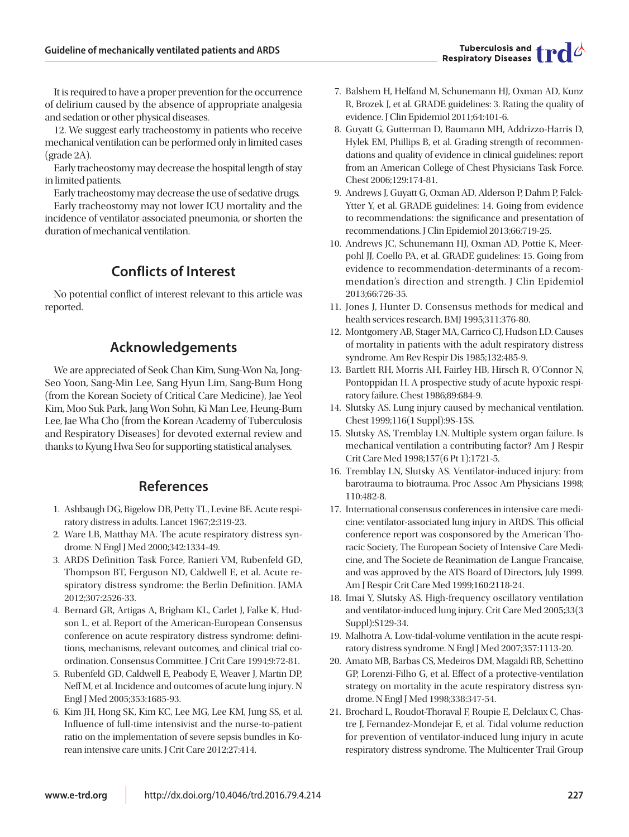It is required to have a proper prevention for the occurrence of delirium caused by the absence of appropriate analgesia and sedation or other physical diseases.

12. We suggest early tracheostomy in patients who receive mechanical ventilation can be performed only in limited cases (grade 2A).

Early tracheostomy may decrease the hospital length of stay in limited patients.

Early tracheostomy may decrease the use of sedative drugs. Early tracheostomy may not lower ICU mortality and the incidence of ventilator-associated pneumonia, or shorten the duration of mechanical ventilation.

# **Conflicts of Interest**

No potential conflict of interest relevant to this article was reported.

# **Acknowledgements**

We are appreciated of Seok Chan Kim, Sung-Won Na, Jong-Seo Yoon, Sang-Min Lee, Sang Hyun Lim, Sang-Bum Hong (from the Korean Society of Critical Care Medicine), Jae Yeol Kim, Moo Suk Park, Jang Won Sohn, Ki Man Lee, Heung-Bum Lee, Jae Wha Cho (from the Korean Academy of Tuberculosis and Respiratory Diseases) for devoted external review and thanks to Kyung Hwa Seo for supporting statistical analyses.

# **References**

- 1. Ashbaugh DG, Bigelow DB, Petty TL, Levine BE. Acute respiratory distress in adults. Lancet 1967;2:319-23.
- 2. Ware LB, Matthay MA. The acute respiratory distress syndrome. N Engl J Med 2000;342:1334-49.
- 3. ARDS Definition Task Force, Ranieri VM, Rubenfeld GD, Thompson BT, Ferguson ND, Caldwell E, et al. Acute respiratory distress syndrome: the Berlin Definition. JAMA 2012;307:2526-33.
- 4. Bernard GR, Artigas A, Brigham KL, Carlet J, Falke K, Hudson L, et al. Report of the American-European Consensus conference on acute respiratory distress syndrome: definitions, mechanisms, relevant outcomes, and clinical trial coordination. Consensus Committee. J Crit Care 1994;9:72-81.
- 5. Rubenfeld GD, Caldwell E, Peabody E, Weaver J, Martin DP, Neff M, et al. Incidence and outcomes of acute lung injury. N Engl J Med 2005;353:1685-93.
- 6. Kim JH, Hong SK, Kim KC, Lee MG, Lee KM, Jung SS, et al. Influence of full-time intensivist and the nurse-to-patient ratio on the implementation of severe sepsis bundles in Korean intensive care units. J Crit Care 2012;27:414.
- 7. Balshem H, Helfand M, Schunemann HJ, Oxman AD, Kunz R, Brozek J, et al. GRADE guidelines: 3. Rating the quality of evidence. J Clin Epidemiol 2011;64:401-6.
- 8. Guyatt G, Gutterman D, Baumann MH, Addrizzo-Harris D, Hylek EM, Phillips B, et al. Grading strength of recommendations and quality of evidence in clinical guidelines: report from an American College of Chest Physicians Task Force. Chest 2006;129:174-81.
- 9. Andrews J, Guyatt G, Oxman AD, Alderson P, Dahm P, Falck-Ytter Y, et al. GRADE guidelines: 14. Going from evidence to recommendations: the significance and presentation of recommendations. J Clin Epidemiol 2013;66:719-25.
- 10. Andrews JC, Schunemann HJ, Oxman AD, Pottie K, Meerpohl JJ, Coello PA, et al. GRADE guidelines: 15. Going from evidence to recommendation-determinants of a recommendation's direction and strength. J Clin Epidemiol 2013;66:726-35.
- 11. Jones J, Hunter D. Consensus methods for medical and health services research. BMJ 1995;311:376-80.
- 12. Montgomery AB, Stager MA, Carrico CJ, Hudson LD. Causes of mortality in patients with the adult respiratory distress syndrome. Am Rev Respir Dis 1985;132:485-9.
- 13. Bartlett RH, Morris AH, Fairley HB, Hirsch R, O'Connor N, Pontoppidan H. A prospective study of acute hypoxic respiratory failure. Chest 1986;89:684-9.
- 14. Slutsky AS. Lung injury caused by mechanical ventilation. Chest 1999;116(1 Suppl):9S-15S.
- 15. Slutsky AS, Tremblay LN. Multiple system organ failure. Is mechanical ventilation a contributing factor? Am J Respir Crit Care Med 1998;157(6 Pt 1):1721-5.
- 16. Tremblay LN, Slutsky AS. Ventilator-induced injury: from barotrauma to biotrauma. Proc Assoc Am Physicians 1998; 110:482-8.
- 17. International consensus conferences in intensive care medicine: ventilator-associated lung injury in ARDS. This official conference report was cosponsored by the American Thoracic Society, The European Society of Intensive Care Medicine, and The Societe de Reanimation de Langue Francaise, and was approved by the ATS Board of Directors, July 1999. Am J Respir Crit Care Med 1999;160:2118-24.
- 18. Imai Y, Slutsky AS. High-frequency oscillatory ventilation and ventilator-induced lung injury. Crit Care Med 2005;33(3 Suppl):S129-34.
- 19. Malhotra A. Low-tidal-volume ventilation in the acute respiratory distress syndrome. N Engl J Med 2007;357:1113-20.
- 20. Amato MB, Barbas CS, Medeiros DM, Magaldi RB, Schettino GP, Lorenzi-Filho G, et al. Effect of a protective-ventilation strategy on mortality in the acute respiratory distress syndrome. N Engl J Med 1998;338:347-54.
- 21. Brochard L, Roudot-Thoraval F, Roupie E, Delclaux C, Chastre J, Fernandez-Mondejar E, et al. Tidal volume reduction for prevention of ventilator-induced lung injury in acute respiratory distress syndrome. The Multicenter Trail Group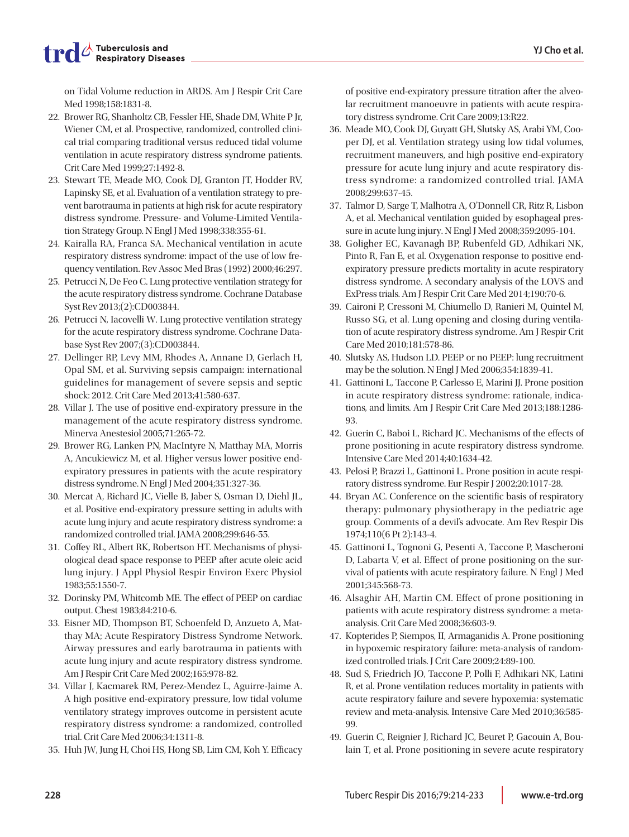on Tidal Volume reduction in ARDS. Am J Respir Crit Care Med 1998;158:1831-8.

- 22. Brower RG, Shanholtz CB, Fessler HE, Shade DM, White P Jr, Wiener CM, et al. Prospective, randomized, controlled clinical trial comparing traditional versus reduced tidal volume ventilation in acute respiratory distress syndrome patients. Crit Care Med 1999;27:1492-8.
- 23. Stewart TE, Meade MO, Cook DJ, Granton JT, Hodder RV, Lapinsky SE, et al. Evaluation of a ventilation strategy to prevent barotrauma in patients at high risk for acute respiratory distress syndrome. Pressure- and Volume-Limited Ventilation Strategy Group. N Engl J Med 1998;338:355-61.
- 24. Kairalla RA, Franca SA. Mechanical ventilation in acute respiratory distress syndrome: impact of the use of low frequency ventilation. Rev Assoc Med Bras (1992) 2000;46:297.
- 25. Petrucci N, De Feo C. Lung protective ventilation strategy for the acute respiratory distress syndrome. Cochrane Database Syst Rev 2013;(2):CD003844.
- 26. Petrucci N, Iacovelli W. Lung protective ventilation strategy for the acute respiratory distress syndrome. Cochrane Database Syst Rev 2007;(3):CD003844.
- 27. Dellinger RP, Levy MM, Rhodes A, Annane D, Gerlach H, Opal SM, et al. Surviving sepsis campaign: international guidelines for management of severe sepsis and septic shock: 2012. Crit Care Med 2013;41:580-637.
- 28. Villar J. The use of positive end-expiratory pressure in the management of the acute respiratory distress syndrome. Minerva Anestesiol 2005;71:265-72.
- 29. Brower RG, Lanken PN, MacIntyre N, Matthay MA, Morris A, Ancukiewicz M, et al. Higher versus lower positive endexpiratory pressures in patients with the acute respiratory distress syndrome. N Engl J Med 2004;351:327-36.
- 30. Mercat A, Richard JC, Vielle B, Jaber S, Osman D, Diehl JL, et al. Positive end-expiratory pressure setting in adults with acute lung injury and acute respiratory distress syndrome: a randomized controlled trial. JAMA 2008;299:646-55.
- 31. Coffey RL, Albert RK, Robertson HT. Mechanisms of physiological dead space response to PEEP after acute oleic acid lung injury. J Appl Physiol Respir Environ Exerc Physiol 1983;55:1550-7.
- 32. Dorinsky PM, Whitcomb ME. The effect of PEEP on cardiac output. Chest 1983;84:210-6.
- 33. Eisner MD, Thompson BT, Schoenfeld D, Anzueto A, Matthay MA; Acute Respiratory Distress Syndrome Network. Airway pressures and early barotrauma in patients with acute lung injury and acute respiratory distress syndrome. Am J Respir Crit Care Med 2002;165:978-82.
- 34. Villar J, Kacmarek RM, Perez-Mendez L, Aguirre-Jaime A. A high positive end-expiratory pressure, low tidal volume ventilatory strategy improves outcome in persistent acute respiratory distress syndrome: a randomized, controlled trial. Crit Care Med 2006;34:1311-8.
- 35. Huh JW, Jung H, Choi HS, Hong SB, Lim CM, Koh Y. Efficacy

of positive end-expiratory pressure titration after the alveolar recruitment manoeuvre in patients with acute respiratory distress syndrome. Crit Care 2009;13:R22.

- 36. Meade MO, Cook DJ, Guyatt GH, Slutsky AS, Arabi YM, Cooper DJ, et al. Ventilation strategy using low tidal volumes, recruitment maneuvers, and high positive end-expiratory pressure for acute lung injury and acute respiratory distress syndrome: a randomized controlled trial. JAMA 2008;299:637-45.
- 37. Talmor D, Sarge T, Malhotra A, O'Donnell CR, Ritz R, Lisbon A, et al. Mechanical ventilation guided by esophageal pressure in acute lung injury. N Engl J Med 2008;359:2095-104.
- 38. Goligher EC, Kavanagh BP, Rubenfeld GD, Adhikari NK, Pinto R, Fan E, et al. Oxygenation response to positive endexpiratory pressure predicts mortality in acute respiratory distress syndrome. A secondary analysis of the LOVS and ExPress trials. Am J Respir Crit Care Med 2014;190:70-6.
- 39. Caironi P, Cressoni M, Chiumello D, Ranieri M, Quintel M, Russo SG, et al. Lung opening and closing during ventilation of acute respiratory distress syndrome. Am J Respir Crit Care Med 2010;181:578-86.
- 40. Slutsky AS, Hudson LD. PEEP or no PEEP: lung recruitment may be the solution. N Engl J Med 2006;354:1839-41.
- 41. Gattinoni L, Taccone P, Carlesso E, Marini JJ. Prone position in acute respiratory distress syndrome: rationale, indications, and limits. Am J Respir Crit Care Med 2013;188:1286- 93.
- 42. Guerin C, Baboi L, Richard JC. Mechanisms of the effects of prone positioning in acute respiratory distress syndrome. Intensive Care Med 2014;40:1634-42.
- 43. Pelosi P, Brazzi L, Gattinoni L. Prone position in acute respiratory distress syndrome. Eur Respir J 2002;20:1017-28.
- 44. Bryan AC. Conference on the scientific basis of respiratory therapy: pulmonary physiotherapy in the pediatric age group. Comments of a devil's advocate. Am Rev Respir Dis 1974;110(6 Pt 2):143-4.
- 45. Gattinoni L, Tognoni G, Pesenti A, Taccone P, Mascheroni D, Labarta V, et al. Effect of prone positioning on the survival of patients with acute respiratory failure. N Engl J Med 2001;345:568-73.
- 46. Alsaghir AH, Martin CM. Effect of prone positioning in patients with acute respiratory distress syndrome: a metaanalysis. Crit Care Med 2008;36:603-9.
- 47. Kopterides P, Siempos, II, Armaganidis A. Prone positioning in hypoxemic respiratory failure: meta-analysis of randomized controlled trials. J Crit Care 2009;24:89-100.
- 48. Sud S, Friedrich JO, Taccone P, Polli F, Adhikari NK, Latini R, et al. Prone ventilation reduces mortality in patients with acute respiratory failure and severe hypoxemia: systematic review and meta-analysis. Intensive Care Med 2010;36:585- 99.
- 49. Guerin C, Reignier J, Richard JC, Beuret P, Gacouin A, Boulain T, et al. Prone positioning in severe acute respiratory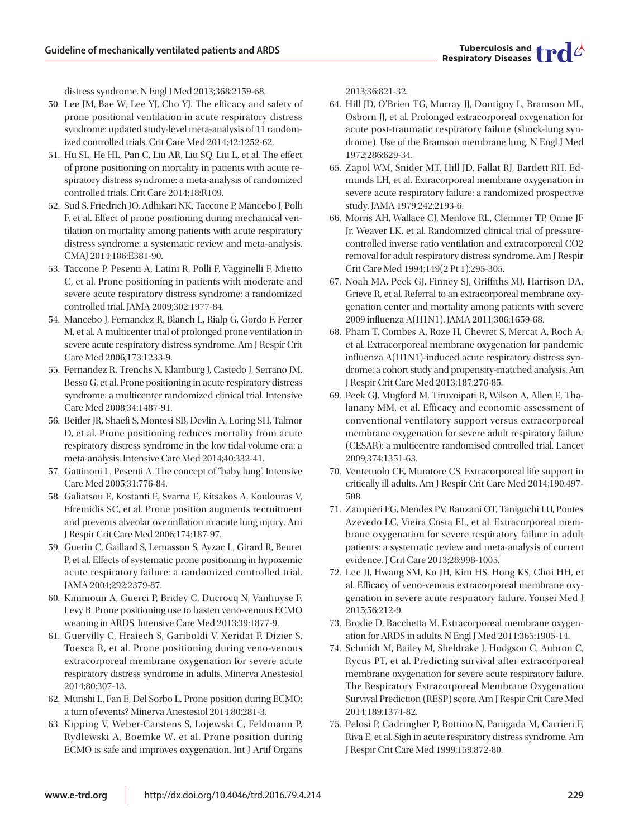

distress syndrome. N Engl J Med 2013;368:2159-68.

- 50. Lee JM, Bae W, Lee YJ, Cho YJ. The efficacy and safety of prone positional ventilation in acute respiratory distress syndrome: updated study-level meta-analysis of 11 randomized controlled trials. Crit Care Med 2014;42:1252-62.
- 51. Hu SL, He HL, Pan C, Liu AR, Liu SQ, Liu L, et al. The effect of prone positioning on mortality in patients with acute respiratory distress syndrome: a meta-analysis of randomized controlled trials. Crit Care 2014;18:R109.
- 52. Sud S, Friedrich JO, Adhikari NK, Taccone P, Mancebo J, Polli F, et al. Effect of prone positioning during mechanical ventilation on mortality among patients with acute respiratory distress syndrome: a systematic review and meta-analysis. CMAJ 2014;186:E381-90.
- 53. Taccone P, Pesenti A, Latini R, Polli F, Vagginelli F, Mietto C, et al. Prone positioning in patients with moderate and severe acute respiratory distress syndrome: a randomized controlled trial. JAMA 2009;302:1977-84.
- 54. Mancebo J, Fernandez R, Blanch L, Rialp G, Gordo F, Ferrer M, et al. A multicenter trial of prolonged prone ventilation in severe acute respiratory distress syndrome. Am J Respir Crit Care Med 2006;173:1233-9.
- 55. Fernandez R, Trenchs X, Klamburg J, Castedo J, Serrano JM, Besso G, et al. Prone positioning in acute respiratory distress syndrome: a multicenter randomized clinical trial. Intensive Care Med 2008;34:1487-91.
- 56. Beitler JR, Shaefi S, Montesi SB, Devlin A, Loring SH, Talmor D, et al. Prone positioning reduces mortality from acute respiratory distress syndrome in the low tidal volume era: a meta-analysis. Intensive Care Med 2014;40:332-41.
- 57. Gattinoni L, Pesenti A. The concept of "baby lung". Intensive Care Med 2005;31:776-84.
- 58. Galiatsou E, Kostanti E, Svarna E, Kitsakos A, Koulouras V, Efremidis SC, et al. Prone position augments recruitment and prevents alveolar overinflation in acute lung injury. Am J Respir Crit Care Med 2006;174:187-97.
- 59. Guerin C, Gaillard S, Lemasson S, Ayzac L, Girard R, Beuret P, et al. Effects of systematic prone positioning in hypoxemic acute respiratory failure: a randomized controlled trial. JAMA 2004;292:2379-87.
- 60. Kimmoun A, Guerci P, Bridey C, Ducrocq N, Vanhuyse F, Levy B. Prone positioning use to hasten veno-venous ECMO weaning in ARDS. Intensive Care Med 2013;39:1877-9.
- 61. Guervilly C, Hraiech S, Gariboldi V, Xeridat F, Dizier S, Toesca R, et al. Prone positioning during veno-venous extracorporeal membrane oxygenation for severe acute respiratory distress syndrome in adults. Minerva Anestesiol 2014;80:307-13.
- 62. Munshi L, Fan E, Del Sorbo L. Prone position during ECMO: a turn of events? Minerva Anestesiol 2014;80:281-3.
- 63. Kipping V, Weber-Carstens S, Lojewski C, Feldmann P, Rydlewski A, Boemke W, et al. Prone position during ECMO is safe and improves oxygenation. Int J Artif Organs

2013;36:821-32.

- 64. Hill JD, O'Brien TG, Murray JJ, Dontigny L, Bramson ML, Osborn JJ, et al. Prolonged extracorporeal oxygenation for acute post-traumatic respiratory failure (shock-lung syndrome). Use of the Bramson membrane lung. N Engl J Med 1972;286:629-34.
- 65. Zapol WM, Snider MT, Hill JD, Fallat RJ, Bartlett RH, Edmunds LH, et al. Extracorporeal membrane oxygenation in severe acute respiratory failure: a randomized prospective study. JAMA 1979;242:2193-6.
- 66. Morris AH, Wallace CJ, Menlove RL, Clemmer TP, Orme JF Jr, Weaver LK, et al. Randomized clinical trial of pressurecontrolled inverse ratio ventilation and extracorporeal CO2 removal for adult respiratory distress syndrome. Am J Respir Crit Care Med 1994;149(2 Pt 1):295-305.
- 67. Noah MA, Peek GJ, Finney SJ, Griffiths MJ, Harrison DA, Grieve R, et al. Referral to an extracorporeal membrane oxygenation center and mortality among patients with severe 2009 influenza A(H1N1). JAMA 2011;306:1659-68.
- 68. Pham T, Combes A, Roze H, Chevret S, Mercat A, Roch A, et al. Extracorporeal membrane oxygenation for pandemic influenza A(H1N1)-induced acute respiratory distress syndrome: a cohort study and propensity-matched analysis. Am J Respir Crit Care Med 2013;187:276-85.
- 69. Peek GJ, Mugford M, Tiruvoipati R, Wilson A, Allen E, Thalanany MM, et al. Efficacy and economic assessment of conventional ventilatory support versus extracorporeal membrane oxygenation for severe adult respiratory failure (CESAR): a multicentre randomised controlled trial. Lancet 2009;374:1351-63.
- 70. Ventetuolo CE, Muratore CS. Extracorporeal life support in critically ill adults. Am J Respir Crit Care Med 2014;190:497- 508.
- 71. Zampieri FG, Mendes PV, Ranzani OT, Taniguchi LU, Pontes Azevedo LC, Vieira Costa EL, et al. Extracorporeal membrane oxygenation for severe respiratory failure in adult patients: a systematic review and meta-analysis of current evidence. J Crit Care 2013;28:998-1005.
- 72. Lee JJ, Hwang SM, Ko JH, Kim HS, Hong KS, Choi HH, et al. Efficacy of veno-venous extracorporeal membrane oxygenation in severe acute respiratory failure. Yonsei Med J 2015;56:212-9.
- 73. Brodie D, Bacchetta M. Extracorporeal membrane oxygenation for ARDS in adults. N Engl J Med 2011;365:1905-14.
- 74. Schmidt M, Bailey M, Sheldrake J, Hodgson C, Aubron C, Rycus PT, et al. Predicting survival after extracorporeal membrane oxygenation for severe acute respiratory failure. The Respiratory Extracorporeal Membrane Oxygenation Survival Prediction (RESP) score. Am J Respir Crit Care Med 2014;189:1374-82.
- 75. Pelosi P, Cadringher P, Bottino N, Panigada M, Carrieri F, Riva E, et al. Sigh in acute respiratory distress syndrome. Am J Respir Crit Care Med 1999;159:872-80.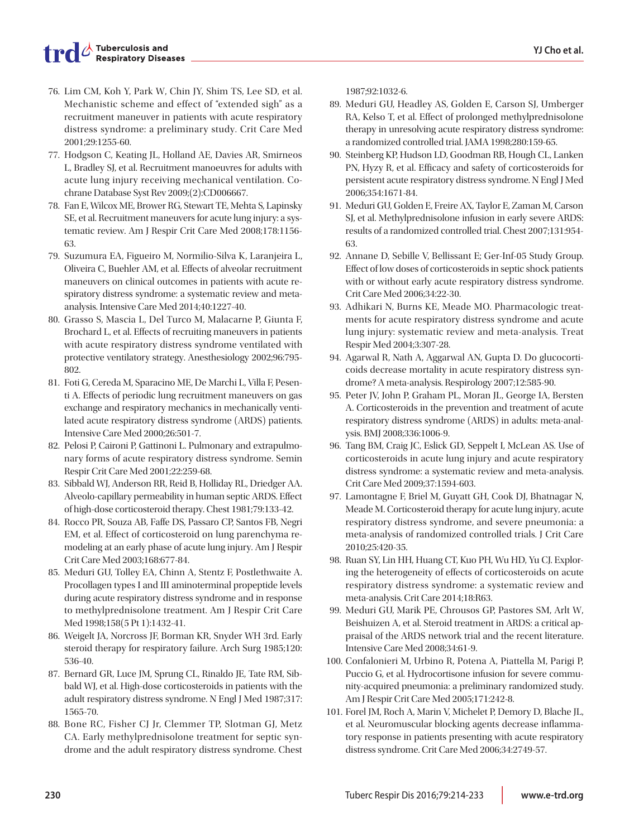- 76. Lim CM, Koh Y, Park W, Chin JY, Shim TS, Lee SD, et al. Mechanistic scheme and effect of "extended sigh" as a recruitment maneuver in patients with acute respiratory distress syndrome: a preliminary study. Crit Care Med 2001;29:1255-60.
- 77. Hodgson C, Keating JL, Holland AE, Davies AR, Smirneos L, Bradley SJ, et al. Recruitment manoeuvres for adults with acute lung injury receiving mechanical ventilation. Cochrane Database Syst Rev 2009;(2):CD006667.
- 78. Fan E, Wilcox ME, Brower RG, Stewart TE, Mehta S, Lapinsky SE, et al. Recruitment maneuvers for acute lung injury: a systematic review. Am J Respir Crit Care Med 2008;178:1156- 63.
- 79. Suzumura EA, Figueiro M, Normilio-Silva K, Laranjeira L, Oliveira C, Buehler AM, et al. Effects of alveolar recruitment maneuvers on clinical outcomes in patients with acute respiratory distress syndrome: a systematic review and metaanalysis. Intensive Care Med 2014;40:1227-40.
- 80. Grasso S, Mascia L, Del Turco M, Malacarne P, Giunta F, Brochard L, et al. Effects of recruiting maneuvers in patients with acute respiratory distress syndrome ventilated with protective ventilatory strategy. Anesthesiology 2002;96:795- 802.
- 81. Foti G, Cereda M, Sparacino ME, De Marchi L, Villa F, Pesenti A. Effects of periodic lung recruitment maneuvers on gas exchange and respiratory mechanics in mechanically ventilated acute respiratory distress syndrome (ARDS) patients. Intensive Care Med 2000;26:501-7.
- 82. Pelosi P, Caironi P, Gattinoni L. Pulmonary and extrapulmonary forms of acute respiratory distress syndrome. Semin Respir Crit Care Med 2001;22:259-68.
- 83. Sibbald WJ, Anderson RR, Reid B, Holliday RL, Driedger AA. Alveolo-capillary permeability in human septic ARDS. Effect of high-dose corticosteroid therapy. Chest 1981;79:133-42.
- 84. Rocco PR, Souza AB, Faffe DS, Passaro CP, Santos FB, Negri EM, et al. Effect of corticosteroid on lung parenchyma remodeling at an early phase of acute lung injury. Am J Respir Crit Care Med 2003;168:677-84.
- 85. Meduri GU, Tolley EA, Chinn A, Stentz F, Postlethwaite A. Procollagen types I and III aminoterminal propeptide levels during acute respiratory distress syndrome and in response to methylprednisolone treatment. Am J Respir Crit Care Med 1998;158(5 Pt 1):1432-41.
- 86. Weigelt JA, Norcross JF, Borman KR, Snyder WH 3rd. Early steroid therapy for respiratory failure. Arch Surg 1985;120: 536-40.
- 87. Bernard GR, Luce JM, Sprung CL, Rinaldo JE, Tate RM, Sibbald WJ, et al. High-dose corticosteroids in patients with the adult respiratory distress syndrome. N Engl J Med 1987;317: 1565-70.
- 88. Bone RC, Fisher CJ Jr, Clemmer TP, Slotman GJ, Metz CA. Early methylprednisolone treatment for septic syndrome and the adult respiratory distress syndrome. Chest

1987;92:1032-6.

- 89. Meduri GU, Headley AS, Golden E, Carson SJ, Umberger RA, Kelso T, et al. Effect of prolonged methylprednisolone therapy in unresolving acute respiratory distress syndrome: a randomized controlled trial. JAMA 1998;280:159-65.
- 90. Steinberg KP, Hudson LD, Goodman RB, Hough CL, Lanken PN, Hyzy R, et al. Efficacy and safety of corticosteroids for persistent acute respiratory distress syndrome. N Engl J Med 2006;354:1671-84.
- 91. Meduri GU, Golden E, Freire AX, Taylor E, Zaman M, Carson SJ, et al. Methylprednisolone infusion in early severe ARDS: results of a randomized controlled trial. Chest 2007;131:954- 63.
- 92. Annane D, Sebille V, Bellissant E; Ger-Inf-05 Study Group. Effect of low doses of corticosteroids in septic shock patients with or without early acute respiratory distress syndrome. Crit Care Med 2006;34:22-30.
- 93. Adhikari N, Burns KE, Meade MO. Pharmacologic treatments for acute respiratory distress syndrome and acute lung injury: systematic review and meta-analysis. Treat Respir Med 2004;3:307-28.
- 94. Agarwal R, Nath A, Aggarwal AN, Gupta D. Do glucocorticoids decrease mortality in acute respiratory distress syndrome? A meta-analysis. Respirology 2007;12:585-90.
- 95. Peter JV, John P, Graham PL, Moran JL, George IA, Bersten A. Corticosteroids in the prevention and treatment of acute respiratory distress syndrome (ARDS) in adults: meta-analysis. BMJ 2008;336:1006-9.
- 96. Tang BM, Craig JC, Eslick GD, Seppelt I, McLean AS. Use of corticosteroids in acute lung injury and acute respiratory distress syndrome: a systematic review and meta-analysis. Crit Care Med 2009;37:1594-603.
- 97. Lamontagne F, Briel M, Guyatt GH, Cook DJ, Bhatnagar N, Meade M. Corticosteroid therapy for acute lung injury, acute respiratory distress syndrome, and severe pneumonia: a meta-analysis of randomized controlled trials. J Crit Care 2010;25:420-35.
- 98. Ruan SY, Lin HH, Huang CT, Kuo PH, Wu HD, Yu CJ. Exploring the heterogeneity of effects of corticosteroids on acute respiratory distress syndrome: a systematic review and meta-analysis. Crit Care 2014;18:R63.
- 99. Meduri GU, Marik PE, Chrousos GP, Pastores SM, Arlt W, Beishuizen A, et al. Steroid treatment in ARDS: a critical appraisal of the ARDS network trial and the recent literature. Intensive Care Med 2008;34:61-9.
- 100. Confalonieri M, Urbino R, Potena A, Piattella M, Parigi P, Puccio G, et al. Hydrocortisone infusion for severe community-acquired pneumonia: a preliminary randomized study. Am J Respir Crit Care Med 2005;171:242-8.
- 101. Forel JM, Roch A, Marin V, Michelet P, Demory D, Blache JL, et al. Neuromuscular blocking agents decrease inflammatory response in patients presenting with acute respiratory distress syndrome. Crit Care Med 2006;34:2749-57.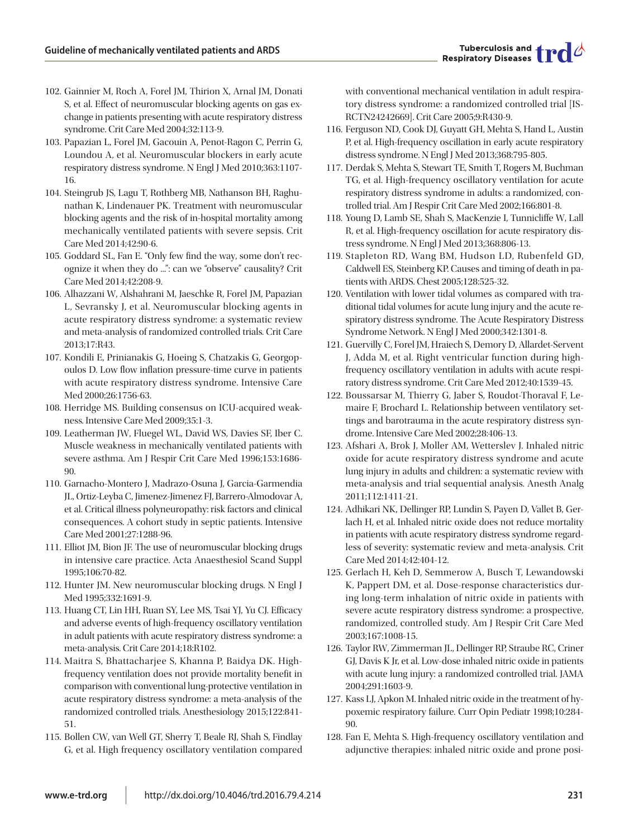- 102. Gainnier M, Roch A, Forel JM, Thirion X, Arnal JM, Donati S, et al. Effect of neuromuscular blocking agents on gas exchange in patients presenting with acute respiratory distress syndrome. Crit Care Med 2004;32:113-9.
- 103. Papazian L, Forel JM, Gacouin A, Penot-Ragon C, Perrin G, Loundou A, et al. Neuromuscular blockers in early acute respiratory distress syndrome. N Engl J Med 2010;363:1107- 16.
- 104. Steingrub JS, Lagu T, Rothberg MB, Nathanson BH, Raghunathan K, Lindenauer PK. Treatment with neuromuscular blocking agents and the risk of in-hospital mortality among mechanically ventilated patients with severe sepsis. Crit Care Med 2014;42:90-6.
- 105. Goddard SL, Fan E. "Only few find the way, some don't recognize it when they do ...": can we "observe" causality? Crit Care Med 2014;42:208-9.
- 106. Alhazzani W, Alshahrani M, Jaeschke R, Forel JM, Papazian L, Sevransky J, et al. Neuromuscular blocking agents in acute respiratory distress syndrome: a systematic review and meta-analysis of randomized controlled trials. Crit Care 2013;17:R43.
- 107. Kondili E, Prinianakis G, Hoeing S, Chatzakis G, Georgopoulos D. Low flow inflation pressure-time curve in patients with acute respiratory distress syndrome. Intensive Care Med 2000;26:1756-63.
- 108. Herridge MS. Building consensus on ICU-acquired weakness. Intensive Care Med 2009;35:1-3.
- 109. Leatherman JW, Fluegel WL, David WS, Davies SF, Iber C. Muscle weakness in mechanically ventilated patients with severe asthma. Am J Respir Crit Care Med 1996;153:1686- 90.
- 110. Garnacho-Montero J, Madrazo-Osuna J, Garcia-Garmendia JL, Ortiz-Leyba C, Jimenez-Jimenez FJ, Barrero-Almodovar A, et al. Critical illness polyneuropathy: risk factors and clinical consequences. A cohort study in septic patients. Intensive Care Med 2001;27:1288-96.
- 111. Elliot JM, Bion JF. The use of neuromuscular blocking drugs in intensive care practice. Acta Anaesthesiol Scand Suppl 1995;106:70-82.
- 112. Hunter JM. New neuromuscular blocking drugs. N Engl J Med 1995;332:1691-9.
- 113. Huang CT, Lin HH, Ruan SY, Lee MS, Tsai YJ, Yu CJ. Efficacy and adverse events of high-frequency oscillatory ventilation in adult patients with acute respiratory distress syndrome: a meta-analysis. Crit Care 2014;18:R102.
- 114. Maitra S, Bhattacharjee S, Khanna P, Baidya DK. Highfrequency ventilation does not provide mortality benefit in comparison with conventional lung-protective ventilation in acute respiratory distress syndrome: a meta-analysis of the randomized controlled trials. Anesthesiology 2015;122:841- 51.
- 115. Bollen CW, van Well GT, Sherry T, Beale RJ, Shah S, Findlay G, et al. High frequency oscillatory ventilation compared

with conventional mechanical ventilation in adult respiratory distress syndrome: a randomized controlled trial [IS-RCTN24242669]. Crit Care 2005;9:R430-9.

- 116. Ferguson ND, Cook DJ, Guyatt GH, Mehta S, Hand L, Austin P, et al. High-frequency oscillation in early acute respiratory distress syndrome. N Engl J Med 2013;368:795-805.
- 117. Derdak S, Mehta S, Stewart TE, Smith T, Rogers M, Buchman TG, et al. High-frequency oscillatory ventilation for acute respiratory distress syndrome in adults: a randomized, controlled trial. Am J Respir Crit Care Med 2002;166:801-8.
- 118. Young D, Lamb SE, Shah S, MacKenzie I, Tunnicliffe W, Lall R, et al. High-frequency oscillation for acute respiratory distress syndrome. N Engl J Med 2013;368:806-13.
- 119. Stapleton RD, Wang BM, Hudson LD, Rubenfeld GD, Caldwell ES, Steinberg KP. Causes and timing of death in patients with ARDS. Chest 2005;128:525-32.
- 120. Ventilation with lower tidal volumes as compared with traditional tidal volumes for acute lung injury and the acute respiratory distress syndrome. The Acute Respiratory Distress Syndrome Network. N Engl J Med 2000;342:1301-8.
- 121. Guervilly C, Forel JM, Hraiech S, Demory D, Allardet-Servent J, Adda M, et al. Right ventricular function during highfrequency oscillatory ventilation in adults with acute respiratory distress syndrome. Crit Care Med 2012;40:1539-45.
- 122. Boussarsar M, Thierry G, Jaber S, Roudot-Thoraval F, Lemaire F, Brochard L. Relationship between ventilatory settings and barotrauma in the acute respiratory distress syndrome. Intensive Care Med 2002;28:406-13.
- 123. Afshari A, Brok J, Moller AM, Wetterslev J. Inhaled nitric oxide for acute respiratory distress syndrome and acute lung injury in adults and children: a systematic review with meta-analysis and trial sequential analysis. Anesth Analg 2011;112:1411-21.
- 124. Adhikari NK, Dellinger RP, Lundin S, Payen D, Vallet B, Gerlach H, et al. Inhaled nitric oxide does not reduce mortality in patients with acute respiratory distress syndrome regardless of severity: systematic review and meta-analysis. Crit Care Med 2014;42:404-12.
- 125. Gerlach H, Keh D, Semmerow A, Busch T, Lewandowski K, Pappert DM, et al. Dose-response characteristics during long-term inhalation of nitric oxide in patients with severe acute respiratory distress syndrome: a prospective, randomized, controlled study. Am J Respir Crit Care Med 2003;167:1008-15.
- 126. Taylor RW, Zimmerman JL, Dellinger RP, Straube RC, Criner GJ, Davis K Jr, et al. Low-dose inhaled nitric oxide in patients with acute lung injury: a randomized controlled trial. JAMA 2004;291:1603-9.
- 127. Kass LJ, Apkon M. Inhaled nitric oxide in the treatment of hypoxemic respiratory failure. Curr Opin Pediatr 1998;10:284- 90.
- 128. Fan E, Mehta S. High-frequency oscillatory ventilation and adjunctive therapies: inhaled nitric oxide and prone posi-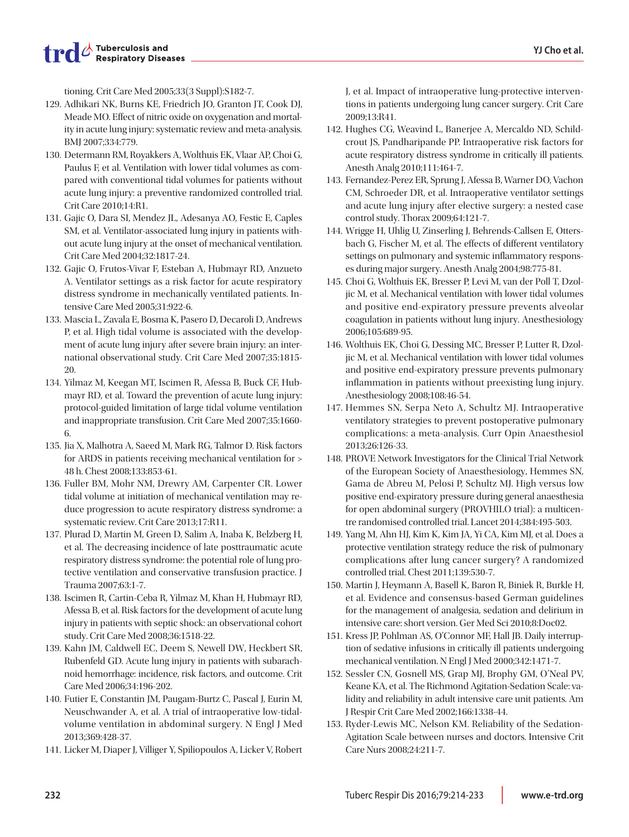tioning. Crit Care Med 2005;33(3 Suppl):S182-7.

- 129. Adhikari NK, Burns KE, Friedrich JO, Granton JT, Cook DJ, Meade MO. Effect of nitric oxide on oxygenation and mortality in acute lung injury: systematic review and meta-analysis. BMJ 2007;334:779.
- 130. Determann RM, Royakkers A, Wolthuis EK, Vlaar AP, Choi G, Paulus F, et al. Ventilation with lower tidal volumes as compared with conventional tidal volumes for patients without acute lung injury: a preventive randomized controlled trial. Crit Care 2010;14:R1.
- 131. Gajic O, Dara SI, Mendez JL, Adesanya AO, Festic E, Caples SM, et al. Ventilator-associated lung injury in patients without acute lung injury at the onset of mechanical ventilation. Crit Care Med 2004;32:1817-24.
- 132. Gajic O, Frutos-Vivar F, Esteban A, Hubmayr RD, Anzueto A. Ventilator settings as a risk factor for acute respiratory distress syndrome in mechanically ventilated patients. Intensive Care Med 2005;31:922-6.
- 133. Mascia L, Zavala E, Bosma K, Pasero D, Decaroli D, Andrews P, et al. High tidal volume is associated with the development of acute lung injury after severe brain injury: an international observational study. Crit Care Med 2007;35:1815- 20.
- 134. Yilmaz M, Keegan MT, Iscimen R, Afessa B, Buck CF, Hubmayr RD, et al. Toward the prevention of acute lung injury: protocol-guided limitation of large tidal volume ventilation and inappropriate transfusion. Crit Care Med 2007;35:1660- 6.
- 135. Jia X, Malhotra A, Saeed M, Mark RG, Talmor D. Risk factors for ARDS in patients receiving mechanical ventilation for > 48 h. Chest 2008;133:853-61.
- 136. Fuller BM, Mohr NM, Drewry AM, Carpenter CR. Lower tidal volume at initiation of mechanical ventilation may reduce progression to acute respiratory distress syndrome: a systematic review. Crit Care 2013;17:R11.
- 137. Plurad D, Martin M, Green D, Salim A, Inaba K, Belzberg H, et al. The decreasing incidence of late posttraumatic acute respiratory distress syndrome: the potential role of lung protective ventilation and conservative transfusion practice. J Trauma 2007;63:1-7.
- 138. Iscimen R, Cartin-Ceba R, Yilmaz M, Khan H, Hubmayr RD, Afessa B, et al. Risk factors for the development of acute lung injury in patients with septic shock: an observational cohort study. Crit Care Med 2008;36:1518-22.
- 139. Kahn JM, Caldwell EC, Deem S, Newell DW, Heckbert SR, Rubenfeld GD. Acute lung injury in patients with subarachnoid hemorrhage: incidence, risk factors, and outcome. Crit Care Med 2006;34:196-202.
- 140. Futier E, Constantin JM, Paugam-Burtz C, Pascal J, Eurin M, Neuschwander A, et al. A trial of intraoperative low-tidalvolume ventilation in abdominal surgery. N Engl J Med 2013;369:428-37.
- 141. Licker M, Diaper J, Villiger Y, Spiliopoulos A, Licker V, Robert

J, et al. Impact of intraoperative lung-protective interventions in patients undergoing lung cancer surgery. Crit Care 2009;13:R41.

- 142. Hughes CG, Weavind L, Banerjee A, Mercaldo ND, Schildcrout JS, Pandharipande PP. Intraoperative risk factors for acute respiratory distress syndrome in critically ill patients. Anesth Analg 2010;111:464-7.
- 143. Fernandez-Perez ER, Sprung J, Afessa B, Warner DO, Vachon CM, Schroeder DR, et al. Intraoperative ventilator settings and acute lung injury after elective surgery: a nested case control study. Thorax 2009;64:121-7.
- 144. Wrigge H, Uhlig U, Zinserling J, Behrends-Callsen E, Ottersbach G, Fischer M, et al. The effects of different ventilatory settings on pulmonary and systemic inflammatory responses during major surgery. Anesth Analg 2004;98:775-81.
- 145. Choi G, Wolthuis EK, Bresser P, Levi M, van der Poll T, Dzoljic M, et al. Mechanical ventilation with lower tidal volumes and positive end-expiratory pressure prevents alveolar coagulation in patients without lung injury. Anesthesiology 2006;105:689-95.
- 146. Wolthuis EK, Choi G, Dessing MC, Bresser P, Lutter R, Dzoljic M, et al. Mechanical ventilation with lower tidal volumes and positive end-expiratory pressure prevents pulmonary inflammation in patients without preexisting lung injury. Anesthesiology 2008;108:46-54.
- 147. Hemmes SN, Serpa Neto A, Schultz MJ. Intraoperative ventilatory strategies to prevent postoperative pulmonary complications: a meta-analysis. Curr Opin Anaesthesiol 2013;26:126-33.
- 148. PROVE Network Investigators for the Clinical Trial Network of the European Society of Anaesthesiology, Hemmes SN, Gama de Abreu M, Pelosi P, Schultz MJ. High versus low positive end-expiratory pressure during general anaesthesia for open abdominal surgery (PROVHILO trial): a multicentre randomised controlled trial. Lancet 2014;384:495-503.
- 149. Yang M, Ahn HJ, Kim K, Kim JA, Yi CA, Kim MJ, et al. Does a protective ventilation strategy reduce the risk of pulmonary complications after lung cancer surgery? A randomized controlled trial. Chest 2011;139:530-7.
- 150. Martin J, Heymann A, Basell K, Baron R, Biniek R, Burkle H, et al. Evidence and consensus-based German guidelines for the management of analgesia, sedation and delirium in intensive care: short version. Ger Med Sci 2010;8:Doc02.
- 151. Kress JP, Pohlman AS, O'Connor MF, Hall JB. Daily interruption of sedative infusions in critically ill patients undergoing mechanical ventilation. N Engl J Med 2000;342:1471-7.
- 152. Sessler CN, Gosnell MS, Grap MJ, Brophy GM, O'Neal PV, Keane KA, et al. The Richmond Agitation-Sedation Scale: validity and reliability in adult intensive care unit patients. Am J Respir Crit Care Med 2002;166:1338-44.
- 153. Ryder-Lewis MC, Nelson KM. Reliability of the Sedation-Agitation Scale between nurses and doctors. Intensive Crit Care Nurs 2008;24:211-7.